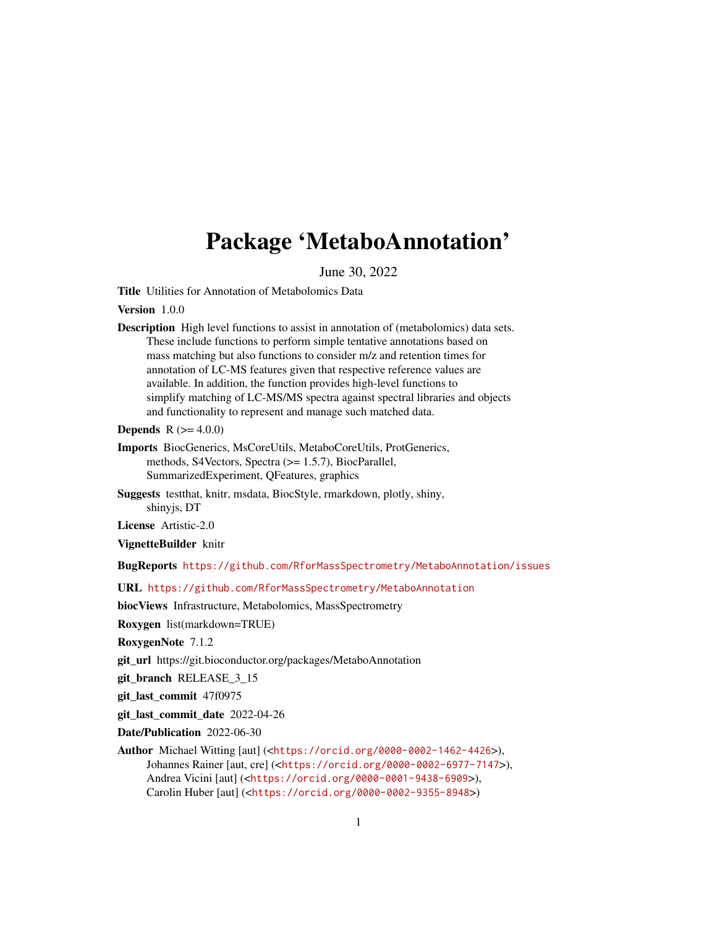# Package 'MetaboAnnotation'

June 30, 2022

<span id="page-0-0"></span>Title Utilities for Annotation of Metabolomics Data

Version 1.0.0

Description High level functions to assist in annotation of (metabolomics) data sets. These include functions to perform simple tentative annotations based on mass matching but also functions to consider m/z and retention times for annotation of LC-MS features given that respective reference values are available. In addition, the function provides high-level functions to simplify matching of LC-MS/MS spectra against spectral libraries and objects and functionality to represent and manage such matched data.

**Depends** R  $(>= 4.0.0)$ 

- Imports BiocGenerics, MsCoreUtils, MetaboCoreUtils, ProtGenerics, methods, S4Vectors, Spectra (>= 1.5.7), BiocParallel, SummarizedExperiment, QFeatures, graphics
- Suggests testthat, knitr, msdata, BiocStyle, rmarkdown, plotly, shiny, shinyjs, DT

License Artistic-2.0

VignetteBuilder knitr

BugReports <https://github.com/RforMassSpectrometry/MetaboAnnotation/issues>

URL <https://github.com/RforMassSpectrometry/MetaboAnnotation>

biocViews Infrastructure, Metabolomics, MassSpectrometry

Roxygen list(markdown=TRUE)

RoxygenNote 7.1.2

git\_url https://git.bioconductor.org/packages/MetaboAnnotation

git branch RELEASE 3 15

git\_last\_commit 47f0975

git\_last\_commit\_date 2022-04-26

Date/Publication 2022-06-30

Author Michael Witting [aut] (<<https://orcid.org/0000-0002-1462-4426>>), Johannes Rainer [aut, cre] (<<https://orcid.org/0000-0002-6977-7147>>), Andrea Vicini [aut] (<<https://orcid.org/0000-0001-9438-6909>>), Carolin Huber [aut] (<<https://orcid.org/0000-0002-9355-8948>>)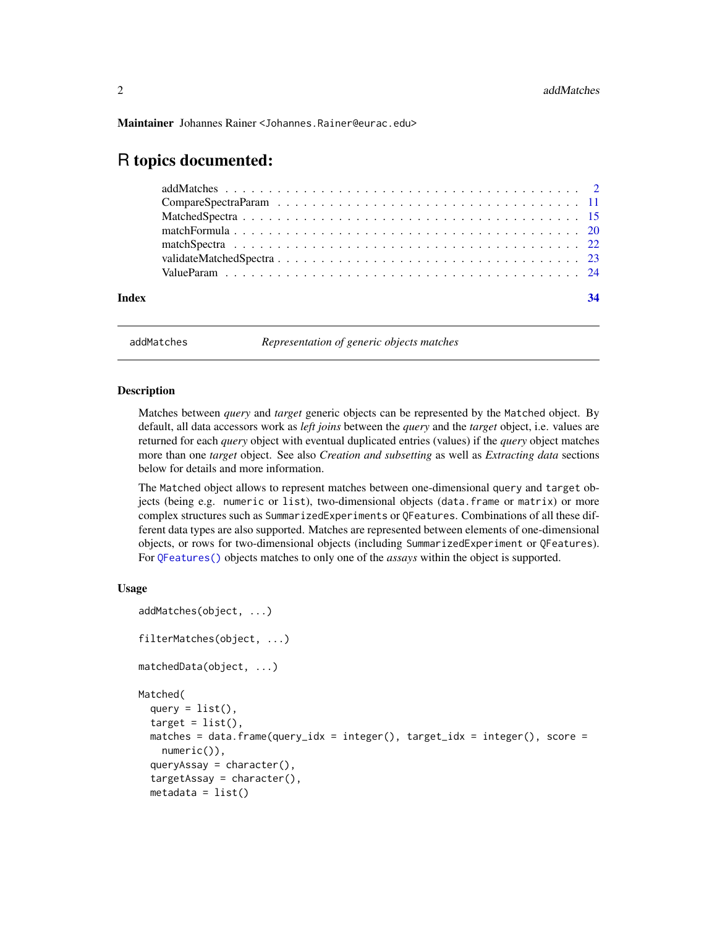<span id="page-1-0"></span>Maintainer Johannes Rainer <Johannes.Rainer@eurac.edu>

# R topics documented:

| Index |  |  |  |  |  |  |  |  |  |  |  |  |  |  |  |  |  |
|-------|--|--|--|--|--|--|--|--|--|--|--|--|--|--|--|--|--|

addMatches *Representation of generic objects matches*

#### <span id="page-1-1"></span>Description

Matches between *query* and *target* generic objects can be represented by the Matched object. By default, all data accessors work as *left joins* between the *query* and the *target* object, i.e. values are returned for each *query* object with eventual duplicated entries (values) if the *query* object matches more than one *target* object. See also *Creation and subsetting* as well as *Extracting data* sections below for details and more information.

The Matched object allows to represent matches between one-dimensional query and target objects (being e.g. numeric or list), two-dimensional objects (data.frame or matrix) or more complex structures such as SummarizedExperiments or QFeatures. Combinations of all these different data types are also supported. Matches are represented between elements of one-dimensional objects, or rows for two-dimensional objects (including SummarizedExperiment or QFeatures). For [QFeatures\(\)](#page-0-0) objects matches to only one of the *assays* within the object is supported.

#### Usage

```
addMatches(object, ...)
filterMatches(object, ...)
matchedData(object, ...)
Matched(
  query = list(),
  target = list().
 matches = data.frame(query_idx = integer(), target_idx = integer(), score =
    numeric()),
  queryAssay = character(),
  targetAssay = character(),metadata = list()
```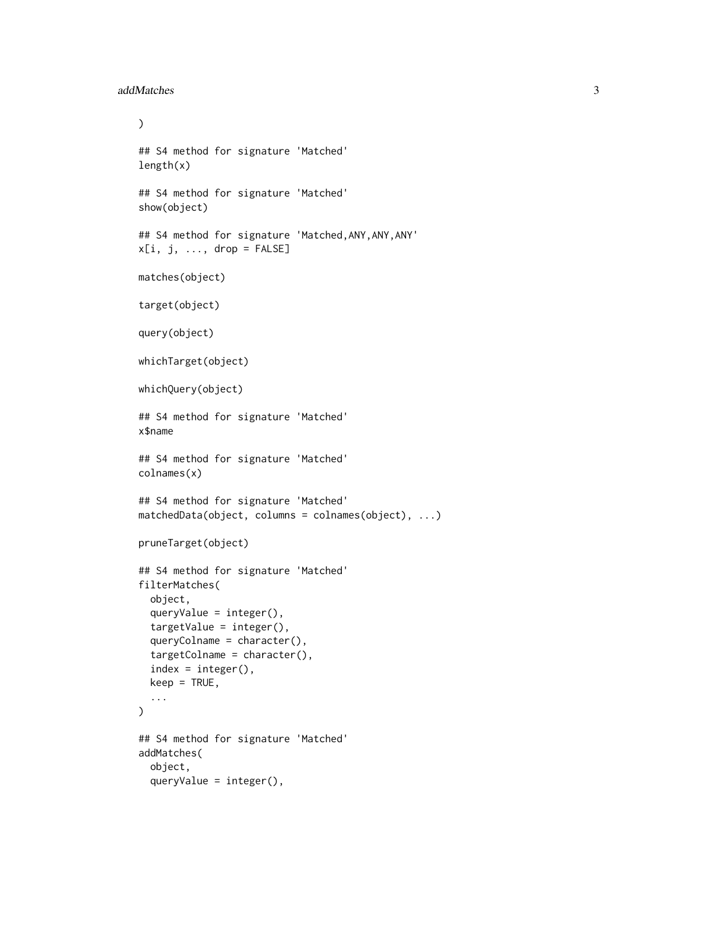```
addMatches 3
```

```
\mathcal{L}## S4 method for signature 'Matched'
length(x)
## S4 method for signature 'Matched'
show(object)
## S4 method for signature 'Matched,ANY,ANY,ANY'
x[i, j, \ldots, drop = FALSE]matches(object)
target(object)
query(object)
whichTarget(object)
whichQuery(object)
## S4 method for signature 'Matched'
x$name
## S4 method for signature 'Matched'
colnames(x)
## S4 method for signature 'Matched'
matchedData(object, columns = colnames(object), ...)
pruneTarget(object)
## S4 method for signature 'Matched'
filterMatches(
  object,
  queryValue = integer(),
  targetValue = integer(),
  queryColname = character(),
  targetColname = character(),
  index = integer(),keep = TRUE,...
\lambda## S4 method for signature 'Matched'
addMatches(
  object,
  queryValue = integer(),
```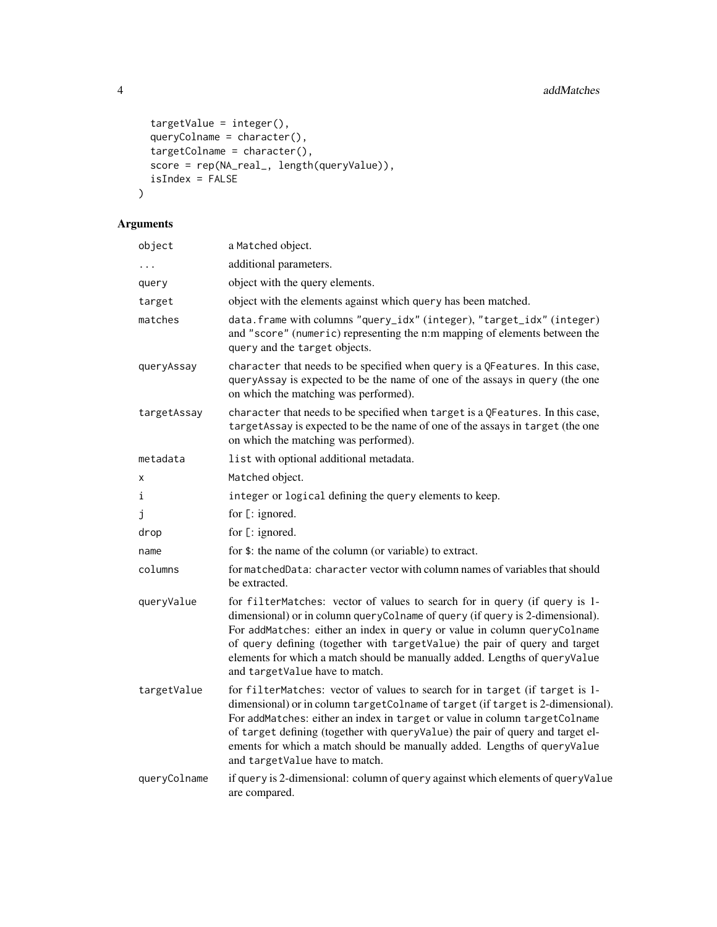```
targetValue = integer(),
  queryColname = character(),
  t = \frac{1}{2} targetColname = character(),
  score = rep(NA_real_, length(queryValue)),
  isIndex = FALSE\mathcal{L}
```
# Arguments

| object       | a Matched object.                                                                                                                                                                                                                                                                                                                                                                                                                             |
|--------------|-----------------------------------------------------------------------------------------------------------------------------------------------------------------------------------------------------------------------------------------------------------------------------------------------------------------------------------------------------------------------------------------------------------------------------------------------|
| $\cdots$     | additional parameters.                                                                                                                                                                                                                                                                                                                                                                                                                        |
| query        | object with the query elements.                                                                                                                                                                                                                                                                                                                                                                                                               |
| target       | object with the elements against which query has been matched.                                                                                                                                                                                                                                                                                                                                                                                |
| matches      | data.frame with columns "query_idx" (integer), "target_idx" (integer)<br>and "score" (numeric) representing the n:m mapping of elements between the<br>query and the target objects.                                                                                                                                                                                                                                                          |
| queryAssay   | character that needs to be specified when query is a QFeatures. In this case,<br>queryAssay is expected to be the name of one of the assays in query (the one<br>on which the matching was performed).                                                                                                                                                                                                                                        |
| targetAssay  | character that needs to be specified when target is a QFeatures. In this case,<br>targetAssay is expected to be the name of one of the assays in target (the one<br>on which the matching was performed).                                                                                                                                                                                                                                     |
| metadata     | list with optional additional metadata.                                                                                                                                                                                                                                                                                                                                                                                                       |
| x            | Matched object.                                                                                                                                                                                                                                                                                                                                                                                                                               |
| i            | integer or logical defining the query elements to keep.                                                                                                                                                                                                                                                                                                                                                                                       |
| j            | for [: ignored.                                                                                                                                                                                                                                                                                                                                                                                                                               |
| drop         | for [: ignored.                                                                                                                                                                                                                                                                                                                                                                                                                               |
| name         | for \$: the name of the column (or variable) to extract.                                                                                                                                                                                                                                                                                                                                                                                      |
| columns      | for matchedData: character vector with column names of variables that should<br>be extracted.                                                                                                                                                                                                                                                                                                                                                 |
| queryValue   | for filterMatches: vector of values to search for in query (if query is 1-<br>dimensional) or in column queryColname of query (if query is 2-dimensional).<br>For addMatches: either an index in query or value in column queryColname<br>of query defining (together with targetValue) the pair of query and target<br>elements for which a match should be manually added. Lengths of queryValue<br>and targetValue have to match.          |
| targetValue  | for filterMatches: vector of values to search for in target (if target is 1-<br>dimensional) or in column targetColname of target (if target is 2-dimensional).<br>For addMatches: either an index in target or value in column targetColname<br>of target defining (together with queryValue) the pair of query and target el-<br>ements for which a match should be manually added. Lengths of queryValue<br>and targetValue have to match. |
| queryColname | if query is 2-dimensional: column of query against which elements of queryValue<br>are compared.                                                                                                                                                                                                                                                                                                                                              |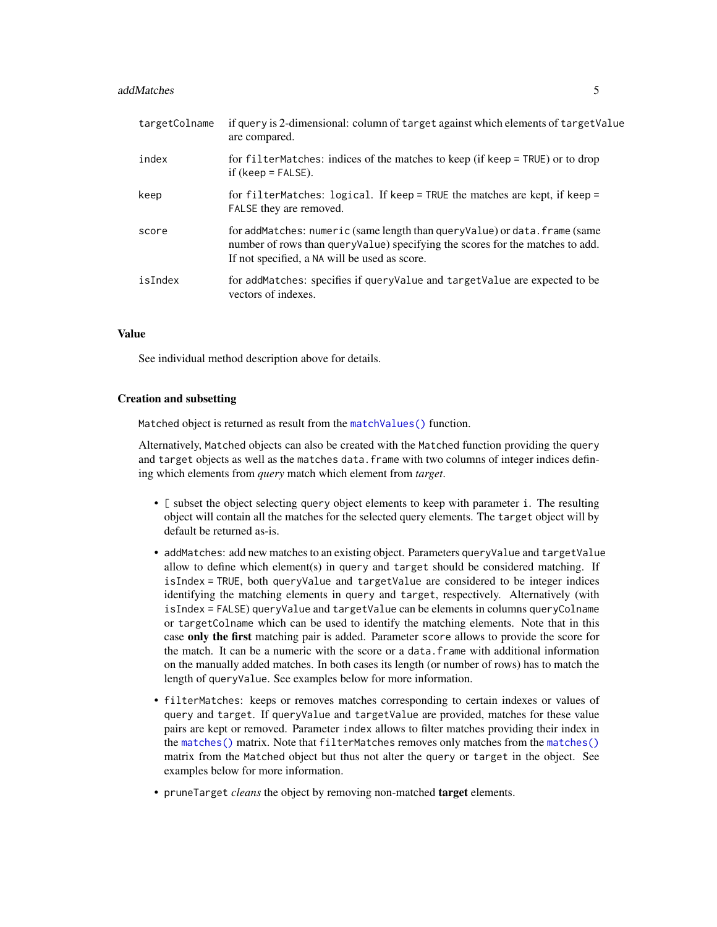#### <span id="page-4-0"></span>addMatches 5

| targetColname | if query is 2-dimensional: column of target against which elements of target Value<br>are compared.                                                                                                           |
|---------------|---------------------------------------------------------------------------------------------------------------------------------------------------------------------------------------------------------------|
| index         | for filterMatches: indices of the matches to keep (if keep = TRUE) or to drop<br>if (keep = $FALSE$ ).                                                                                                        |
| keep          | for filterMatches: logical. If keep = TRUE the matches are kept, if keep =<br>FALSE they are removed.                                                                                                         |
| score         | for addMatches: numeric (same length than queryValue) or data. frame (same<br>number of rows than query value) specifying the scores for the matches to add.<br>If not specified, a NA will be used as score. |
| isIndex       | for addMatches: specifies if queryValue and targetValue are expected to be<br>vectors of indexes.                                                                                                             |

# Value

See individual method description above for details.

#### Creation and subsetting

Matched object is returned as result from the [matchValues\(\)](#page-23-1) function.

Alternatively, Matched objects can also be created with the Matched function providing the query and target objects as well as the matches data. frame with two columns of integer indices defining which elements from *query* match which element from *target*.

- [ subset the object selecting query object elements to keep with parameter i. The resulting object will contain all the matches for the selected query elements. The target object will by default be returned as-is.
- addMatches: add new matches to an existing object. Parameters queryValue and targetValue allow to define which element(s) in query and target should be considered matching. If isIndex = TRUE, both queryValue and targetValue are considered to be integer indices identifying the matching elements in query and target, respectively. Alternatively (with isIndex = FALSE) queryValue and targetValue can be elements in columns queryColname or targetColname which can be used to identify the matching elements. Note that in this case only the first matching pair is added. Parameter score allows to provide the score for the match. It can be a numeric with the score or a data.frame with additional information on the manually added matches. In both cases its length (or number of rows) has to match the length of queryValue. See examples below for more information.
- filterMatches: keeps or removes matches corresponding to certain indexes or values of query and target. If queryValue and targetValue are provided, matches for these value pairs are kept or removed. Parameter index allows to filter matches providing their index in the [matches\(\)](#page-1-1) matrix. Note that filterMatches removes only matches from the [matches\(\)](#page-1-1) matrix from the Matched object but thus not alter the query or target in the object. See examples below for more information.
- pruneTarget *cleans* the object by removing non-matched target elements.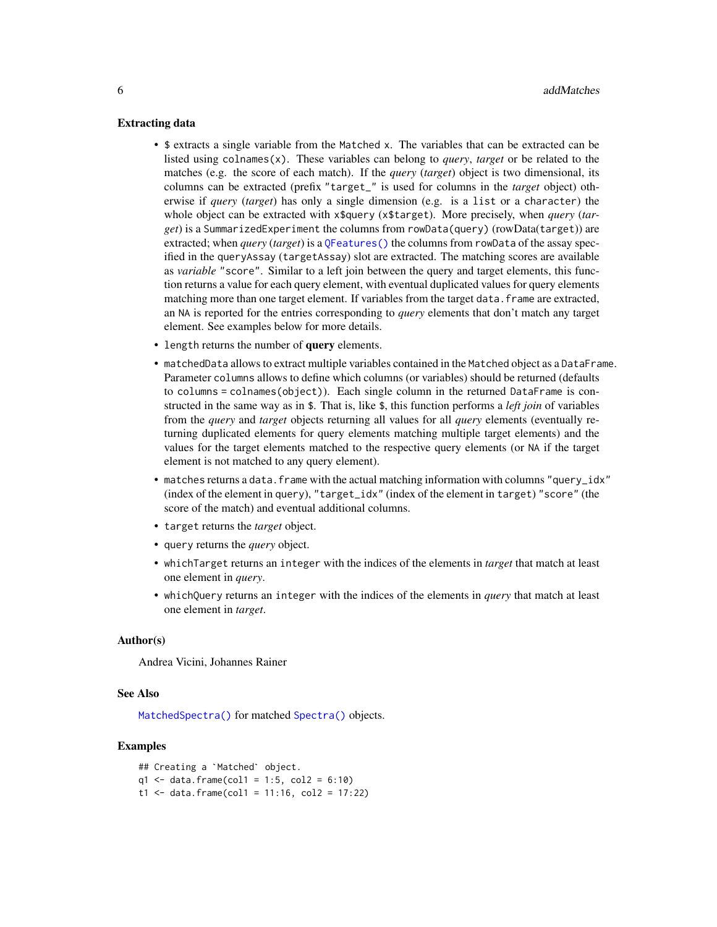#### <span id="page-5-0"></span>Extracting data

- \$ extracts a single variable from the Matched x. The variables that can be extracted can be listed using colnames(x). These variables can belong to *query*, *target* or be related to the matches (e.g. the score of each match). If the *query* (*target*) object is two dimensional, its columns can be extracted (prefix "target\_" is used for columns in the *target* object) otherwise if *query* (*target*) has only a single dimension (e.g. is a list or a character) the whole object can be extracted with x\$query (x\$target). More precisely, when *query* (*target*) is a SummarizedExperiment the columns from rowData(query) (rowData(target)) are extracted; when *query* (*target*) is a [QFeatures\(\)](#page-0-0) the columns from rowData of the assay specified in the queryAssay (targetAssay) slot are extracted. The matching scores are available as *variable* "score". Similar to a left join between the query and target elements, this function returns a value for each query element, with eventual duplicated values for query elements matching more than one target element. If variables from the target data. frame are extracted, an NA is reported for the entries corresponding to *query* elements that don't match any target element. See examples below for more details.
- length returns the number of query elements.
- matchedData allows to extract multiple variables contained in the Matched object as a DataFrame. Parameter columns allows to define which columns (or variables) should be returned (defaults to columns = colnames(object)). Each single column in the returned DataFrame is constructed in the same way as in \$. That is, like \$, this function performs a *left join* of variables from the *query* and *target* objects returning all values for all *query* elements (eventually returning duplicated elements for query elements matching multiple target elements) and the values for the target elements matched to the respective query elements (or NA if the target element is not matched to any query element).
- matches returns a data. frame with the actual matching information with columns "query\_idx" (index of the element in query), "target\_idx" (index of the element in target) "score" (the score of the match) and eventual additional columns.
- target returns the *target* object.
- query returns the *query* object.
- whichTarget returns an integer with the indices of the elements in *target* that match at least one element in *query*.
- whichQuery returns an integer with the indices of the elements in *query* that match at least one element in *target*.

#### Author(s)

Andrea Vicini, Johannes Rainer

#### See Also

[MatchedSpectra\(\)](#page-14-1) for matched [Spectra\(\)](#page-0-0) objects.

# Examples

```
## Creating a `Matched` object.
q1 \leq - data.frame(col1 = 1:5, col2 = 6:10)
t1 <- data.frame(col1 = 11:16, col2 = 17:22)
```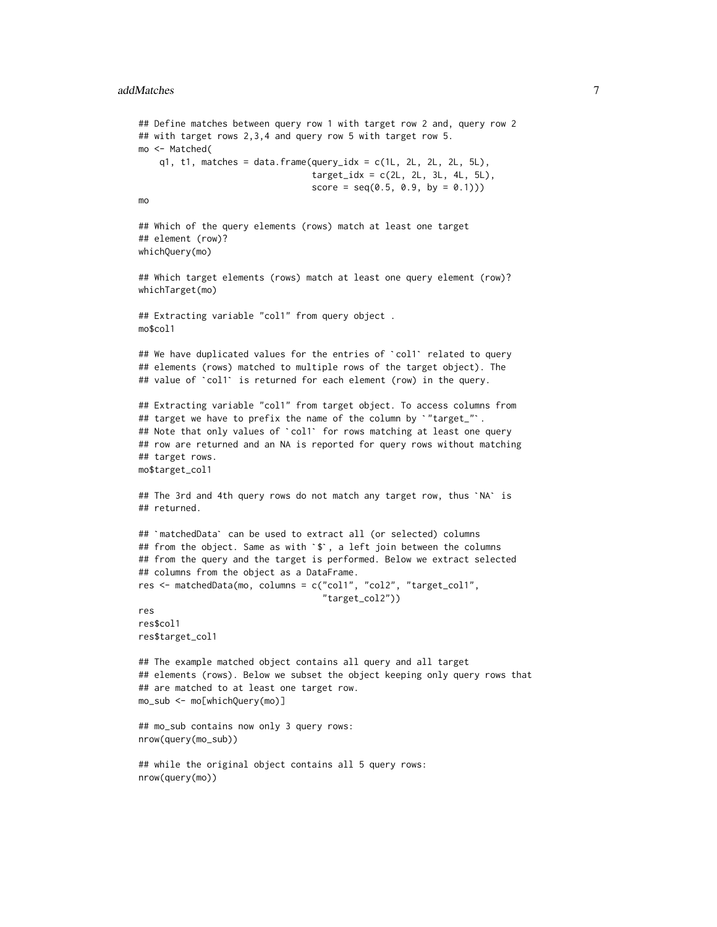```
## Define matches between query row 1 with target row 2 and, query row 2
## with target rows 2,3,4 and query row 5 with target row 5.
mo <- Matched(
     q1, t1, matches = data.frame(query_idx = c(1L, 2L, 2L, 2L, 5L),
                                             target\_idx = c(2L, 2L, 3L, 4L, 5L),score = seq(0.5, 0.9, by = 0.1))mo
## Which of the query elements (rows) match at least one target
## element (row)?
whichQuery(mo)
## Which target elements (rows) match at least one query element (row)?
whichTarget(mo)
## Extracting variable "col1" from query object .
mo$col1
## Extracting variable "col1" from query object .<br>mo$col1<br>## We have duplicated values for the entries of `col1` related to query
## elements (rows) matched to multiple rows of the target object). The
## We have duplicated values for the entries of `col1` related to q## elements (rows) matched to multiple rows of the target object).<br>## value of `col1` is returned for each element (row) in the query.
## Extracting variable "col1" from target object. To access columns from
## value of `col1` is returned for each element (row) in the query<br>## Extracting variable "col1" from target object. To access column<br>## target we have to prefix the name of the column by `"target_"`.
## Extracting variable "col1" from target object. To access columns fro<br>## target we have to prefix the name of the column by `"target_"`.<br>## Note that only values of `col1` for rows matching at least one query
## row are returned and an NA is reported for query rows without matching
## target rows.
mo$target_col1
## target rows.<br>mo$target_col1<br>## The 3rd and 4th query rows do not match any target row, thus `NA` is
## returned.
## The 3rd and 4th query rows do not match any target row, thus<br>## returned.<br>## `matchedData` can be used to extract all (or selected) columns
## `matchedData` can be used to extract all (or selected) columns<br>## from the object. Same as with `$`, a left join between the columns
## from the query and the target is performed. Below we extract selected
## columns from the object as a DataFrame.
res <- matchedData(mo, columns = c("col1", "col2", "target_col1",
                                                "target_col2"))
res
res$col1
res$target_col1
## The example matched object contains all query and all target
## elements (rows). Below we subset the object keeping only query rows that
## are matched to at least one target row.
mo_sub <- mo[whichQuery(mo)]
## mo_sub contains now only 3 query rows:
nrow(query(mo_sub))
## while the original object contains all 5 query rows:
nrow(query(mo))
```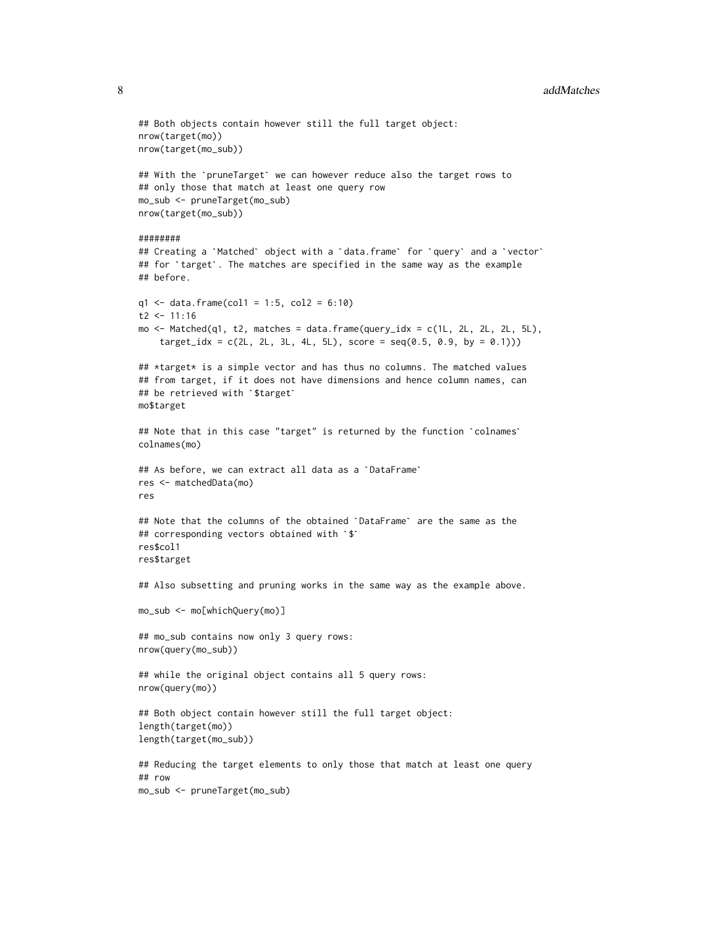#### 8 addMatches and the contract of the contract of the contract of the contract of the contract of the contract of the contract of the contract of the contract of the contract of the contract of the contract of the contract

```
## Both objects contain however still the full target object:
nrow(target(mo))
nrow(target(mo_sub))
## With the `pruneTarget` we can however reduce also the target rows to
## only those that match at least one query row
mo_sub <- pruneTarget(mo_sub)
nrow(target(mo_sub))
########
nrow(target(mo_sub))<br>########<br>## Creating a `Matched` object with a `data.frame` for `query` and a `vector`
#########<br>## Creating a `Matched` object with a `data.frame` for `query` and a `vec<br>## for `target`. The matches are specified in the same way as the example
## before.
q1 <- data.frame(col1 = 1:5, col2 = 6:10)
t2 < -11:16mo <- Matched(q1, t2, matches = data.frame(query_idx = c(1L, 2L, 2L, 2L, 5L),
     target\_idx = c(2L, 2L, 3L, 4L, 5L), score = seq(0.5, 0.9, by = 0.1)))## *target* is a simple vector and has thus no columns. The matched values
## from target, if it does not have dimensions and hence column names, can
## *target* is a simple vector<br>## from target, if it does not<br>## be retrieved with `$target`
mo$target
## be retrieved with <mark>`$target`</mark><br>mo$target<br>## Note that in this case "target" is returned by the function `colnames`
colnames(mo)
## Note that in this case "target" is returned by the<br>colnames(mo)<br>## As before, we can extract all data as a `DataFrame`
res <- matchedData(mo)
res
res <- matchedData(mo)<br>res<br>## Note that the columns of the obtained `DataFrame` are the same as the
res<br>## Note that the columns of the obtained `<br>## corresponding vectors obtained with `$`
res$col1
res$target
## Also subsetting and pruning works in the same way as the example above.
mo_sub <- mo[whichQuery(mo)]
## mo_sub contains now only 3 query rows:
nrow(query(mo_sub))
## while the original object contains all 5 query rows:
nrow(query(mo))
## Both object contain however still the full target object:
length(target(mo))
length(target(mo_sub))
## Reducing the target elements to only those that match at least one query
## row
mo_sub <- pruneTarget(mo_sub)
```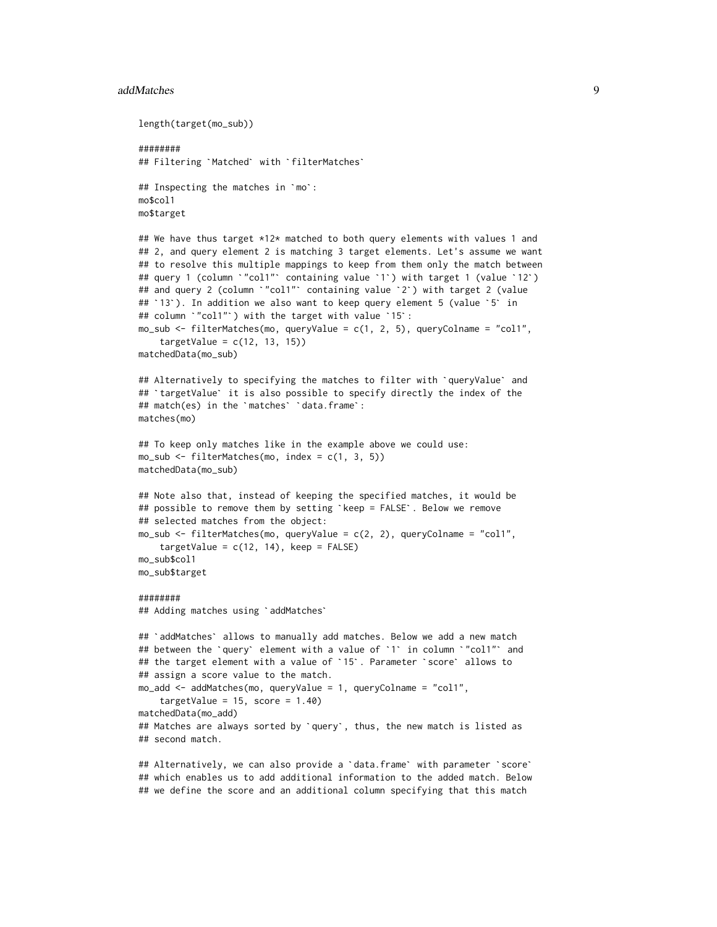#### addMatches 9

```
length(target(mo_sub))
########
length(target(mo_sub))<br>########<br>## Filtering `Matched` with `filterMatches`
#########<br>## Filtering `Matched` with `filte<br>## Inspecting the matches in `mo`:
mo$col1
mo$target
## We have thus target *12* matched to both query elements with values 1 and
## 2, and query element 2 is matching 3 target elements. Let's assume we want
## to resolve this multiple mappings to keep from them only the match between
## query 1 (column `"col1"` containing value `1`) with target 1 (value `12`)
## 2, and query element 2 is matching 3 target elements. Let's assume we w<br>## to resolve this multiple mappings to keep from them only the match betw<br>## query 1 (column `"col1"` containing value `1`) with target 2 (value<br>#
## to resolve this multiple mappings to keep from them only the match be<br>## query 1 (column `"coll"` containing value `1`) with target 1 (value `<br>## and query 2 (column `"coll"` containing value `2`) with target 2 (val<br>## 
## query 1 (column `"col1"` containing value `1`) wi#<br>## and query 2 (column `"col1"` containing value `2`<br>## `13`). In addition we also want to keep query ele<br>## column `"col1"`) with the target with value `15`:
mo\_sub \leftarrow filterMatches(mo, queryValue = c(1, 2, 5), queryColname = "coll",targetValue = c(12, 13, 15)matchedData(mo_sub)
targetValue = c(12, 13, 15))<br>matchedData(mo_sub)<br>## Alternatively to specifying the matches to filter with `queryValue` and
matchedData(mo_sub)<br>## Alternatively to specifying the matches to filter with `queryValue` an<br>## `targetValue` it is also possible to specify directly the index of the
## `targetValue` it is also possible to specify directly the index of the ## match(es) in the `matches` `data.frame`:
matches(mo)
## To keep only matches like in the example above we could use:
mo\_sub \leftarrow filterMatches(mo, index = c(1, 3, 5))matchedData(mo_sub)
## Note also that, instead of keeping the specified matches, it would be
matchedData(mo_sub)<br>## Note also that, instead of keeping the specified matches, it would<br>## possible to remove them by setting `keep = FALSE`. Below we remove
## selected matches from the object:
mo_sub <- filterMatches(mo, queryValue = c(2, 2), queryColname = "col1",
      targetValue = c(12, 14), keep = FALSE)
mo_sub$col1
mo_sub$target
########
## Adding matches using `addMatches`
## `addMatches` allows to manually add matches. Below we add a new match
## Adding matches using `addMatches`<br>## `addMatches` allows to manually add matches. Below we add a new match<br>## between the `query` element with a value of `1` in column `"col1"` and
## `addMatches` allows to manually add matches. Below we add a new matc<br>## between the `query` element with a value of `1` in column `"col1"` a<br>## the target element with a value of `15`. Parameter `score` allows to
## assign a score value to the match.
mo_add <- addMatches(mo, queryValue = 1, queryColname = "col1",
      targetValue = 15, score = 1.40)
matchedData(mo_add)
## Matches are always sorted by `query`, thus, the new match is listed as
## second match.
## Alternatively, we can also provide a `data.frame` with parameter `score`
```
## which enables us to add additional information to the added match. Below ## we define the score and an additional column specifying that this match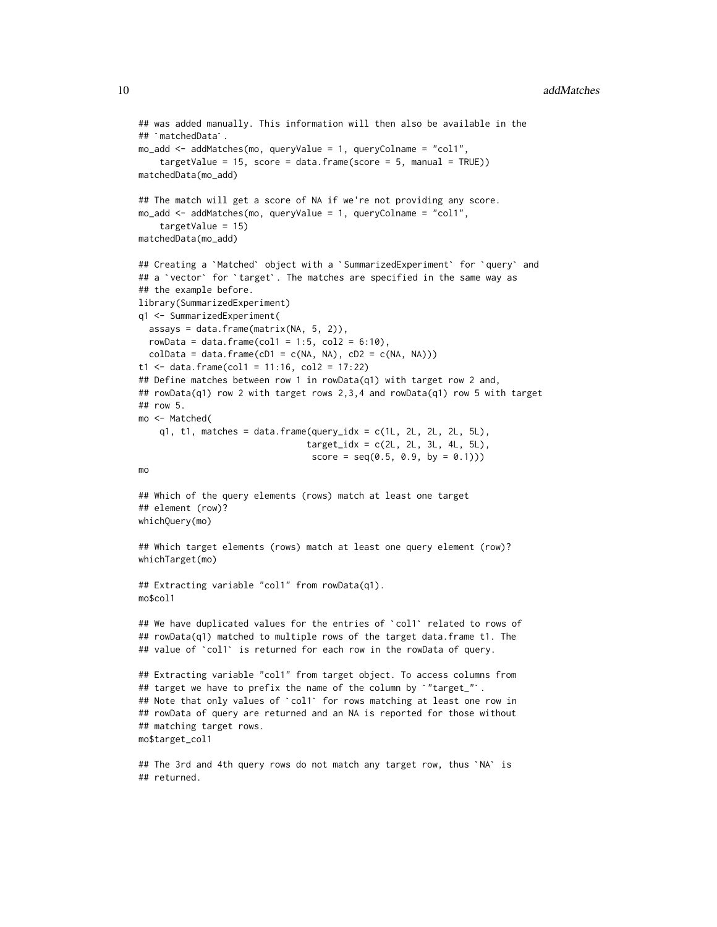```
## was added manually. This information will then also be available in the
## was added manu<br>## `matchedData`.
mo_add <- addMatches(mo, queryValue = 1, queryColname = "col1",
     targetValue = 15, score = data.frame(score = 5, manual = TRUE))
matchedData(mo_add)
## The match will get a score of NA if we're not providing any score.
mo_add <- addMatches(mo, queryValue = 1, queryColname = "col1",
     targetValue = 15)
matchedData(mo_add)
targetValue = 15)<br>matchedData(mo_add)<br>## Creating a `Matched` object with a `SummarizedExperiment` for `query` and
matchedData(mo_add)<br>## Creating a `Matched` object with a `SummarizedExperiment` for `query`<br>## a `vector` for `target`. The matches are specified in the same way as
## the example before.
library(SummarizedExperiment)
q1 <- SummarizedExperiment(
  assays = data.frame(matrix(NA, 5, 2)),
  rowData = data.frame(col1 = 1:5, col2 = 6:10),
  colData = data.frame(cD1 = c(NA, NA), cD2 = c(NA, NA)))
t1 <- data.frame(col1 = 11:16, col2 = 17:22)
## Define matches between row 1 in rowData(q1) with target row 2 and,
## rowData(q1) row 2 with target rows 2,3,4 and rowData(q1) row 5 with target
## row 5.
mo <- Matched(
     q1, t1, matches = data.frame(query_idx = c(1L, 2L, 2L, 2L, 5L),
                                          target\_idx = c(2L, 2L, 3L, 4L, 5L),score = seq(0.5, 0.9, by = 0.1))mo
## Which of the query elements (rows) match at least one target
## element (row)?
whichQuery(mo)
## Which target elements (rows) match at least one query element (row)?
whichTarget(mo)
## Extracting variable "col1" from rowData(q1).
mo$col1
## We have duplicated values for the entries of `col1` related to rows of
## rowData(q1) matched to multiple rows of the target data.frame t1. The
## We have duplicated values for the entries of `col1` related to ro#<br>## rowData(q1) matched to multiple rows of the target data.frame t1.<br>## value of `col1` is returned for each row in the rowData of query.
## Extracting variable "col1" from target object. To access columns from
## value of `coll` is returned for each row in the rowData of quer<br>## Extracting variable "coll" from target object. To access column<br>## target we have to prefix the name of the column by `"target_"`.
## Extracting variable "col1" from target object. To access columns from<br>## target we have to prefix the name of the column by `"target_"`.<br>## Note that only values of `col1` for rows matching at least one row in
## rowData of query are returned and an NA is reported for those without
## matching target rows.
mo$target_col1
```
## The 3rd and 4th query rows do not match any target row, thus `NA` is ## returned.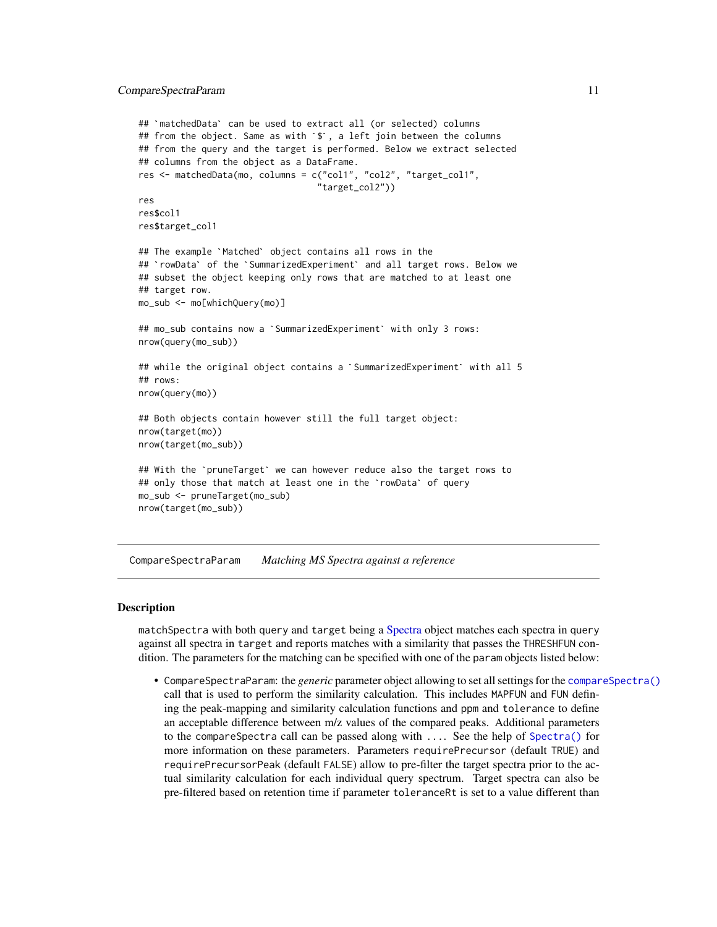```
## `matchedData` can be used to extract all (or selected) columns
## from the object. Same as with `$`, a left join between the columns
## from the query and the target is performed. Below we extract selected
## columns from the object as a DataFrame.
res <- matchedData(mo, columns = c("col1", "col2", "target_col1",
                                           "target_col2"))
res
res$col1
res$target_col1
## The example `Matched` object contains all rows in the
## `rowData` of the `SummarizedExperiment` and all target rows. Below we
## subset the object keeping only rows that are matched to at least one
## target row.
mo_sub <- mo[whichQuery(mo)]
## target row.<br>mo_sub <<mark>- mo[whichQuery(mo)]</mark><br>## mo_sub contains now a `SummarizedExperiment` with only 3 rows:
nrow(query(mo_sub))
## mo_sub contains now a `SummarizedExperiment` with only 3 rows:<br>nrow(query(mo_sub))<br>## while the original object contains a `SummarizedExperiment` with all 5
## rows:
nrow(query(mo))
## Both objects contain however still the full target object:
nrow(target(mo))
nrow(target(mo_sub))
nrow(target(mo))<br>nrow(target(mo_sub))<br>## With the `pruneTarget` we can however reduce also the target rows to
nrow(target(mo_sub))<br>## With the `pruneTarget` we can however reduce also the target<br>## only those that match at least one in the `rowData` of query
mo_sub <- pruneTarget(mo_sub)
nrow(target(mo_sub))
```
<span id="page-10-1"></span>CompareSpectraParam *Matching MS Spectra against a reference*

#### **Description**

matchSpectra with both query and target being a [Spectra](#page-0-0) object matches each spectra in query against all spectra in target and reports matches with a similarity that passes the THRESHFUN condition. The parameters for the matching can be specified with one of the param objects listed below:

• CompareSpectraParam: the *generic* parameter object allowing to set all settings for the [compareSpectra\(\)](#page-0-0) call that is used to perform the similarity calculation. This includes MAPFUN and FUN defining the peak-mapping and similarity calculation functions and ppm and tolerance to define an acceptable difference between m/z values of the compared peaks. Additional parameters to the compareSpectra call can be passed along with .... See the help of [Spectra\(\)](#page-0-0) for more information on these parameters. Parameters requirePrecursor (default TRUE) and requirePrecursorPeak (default FALSE) allow to pre-filter the target spectra prior to the actual similarity calculation for each individual query spectrum. Target spectra can also be pre-filtered based on retention time if parameter toleranceRt is set to a value different than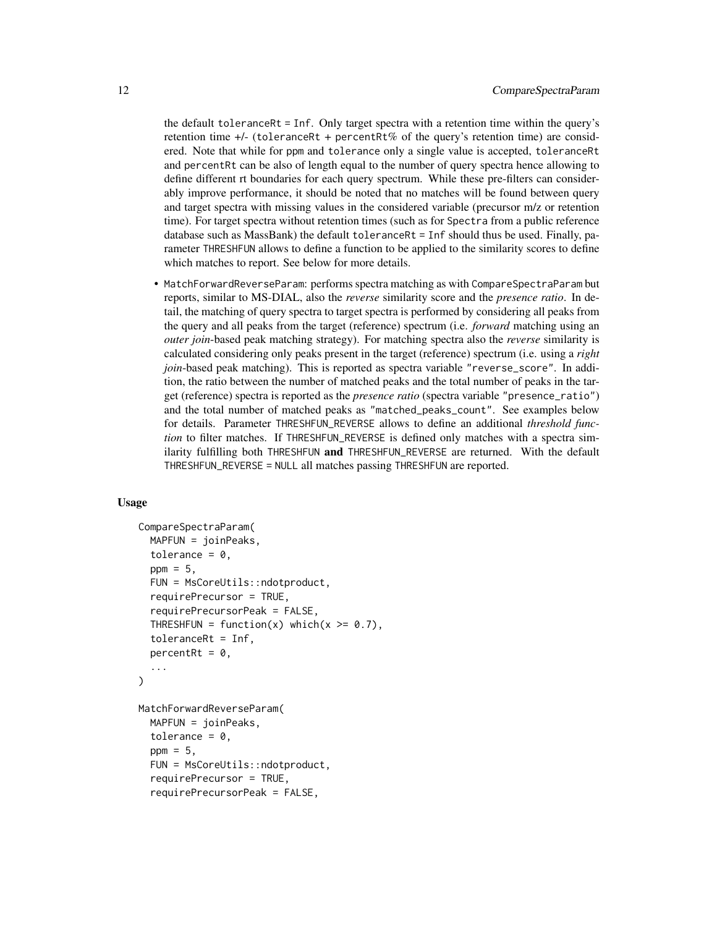the default toleranceRt = Inf. Only target spectra with a retention time within the query's retention time  $+/-$  (toleranceRt + percentRt% of the query's retention time) are considered. Note that while for ppm and tolerance only a single value is accepted, toleranceRt and percentRt can be also of length equal to the number of query spectra hence allowing to define different rt boundaries for each query spectrum. While these pre-filters can considerably improve performance, it should be noted that no matches will be found between query and target spectra with missing values in the considered variable (precursor m/z or retention time). For target spectra without retention times (such as for Spectra from a public reference database such as MassBank) the default toleranceRt = Inf should thus be used. Finally, parameter THRESHFUN allows to define a function to be applied to the similarity scores to define which matches to report. See below for more details.

• MatchForwardReverseParam: performs spectra matching as with CompareSpectraParam but reports, similar to MS-DIAL, also the *reverse* similarity score and the *presence ratio*. In detail, the matching of query spectra to target spectra is performed by considering all peaks from the query and all peaks from the target (reference) spectrum (i.e. *forward* matching using an *outer join*-based peak matching strategy). For matching spectra also the *reverse* similarity is calculated considering only peaks present in the target (reference) spectrum (i.e. using a *right join*-based peak matching). This is reported as spectra variable "reverse\_score". In addition, the ratio between the number of matched peaks and the total number of peaks in the target (reference) spectra is reported as the *presence ratio* (spectra variable "presence\_ratio") and the total number of matched peaks as "matched\_peaks\_count". See examples below for details. Parameter THRESHFUN\_REVERSE allows to define an additional *threshold function* to filter matches. If THRESHFUN\_REVERSE is defined only matches with a spectra similarity fulfilling both THRESHFUN and THRESHFUN\_REVERSE are returned. With the default THRESHFUN\_REVERSE = NULL all matches passing THRESHFUN are reported.

#### Usage

```
CompareSpectraParam(
  MAPFUN = joinPeaks,
  tolerance = 0,
  ppm = 5.
  FUN = MsCoreUtils::ndotproduct,
  requirePrecursor = TRUE,
  requirePrecursorPeak = FALSE,
  THRESHFUN = function(x) which(x \ge 0.7),
  toleranceRt = Inf,
  percentRt = 0,
  ...
)
MatchForwardReverseParam(
  MAPFUN = joinPeaks,
  tolerance = 0,
  ppm = 5,
  FUN = MsCoreUtils::ndotproduct,
  requirePrecursor = TRUE,
  requirePrecursorPeak = FALSE,
```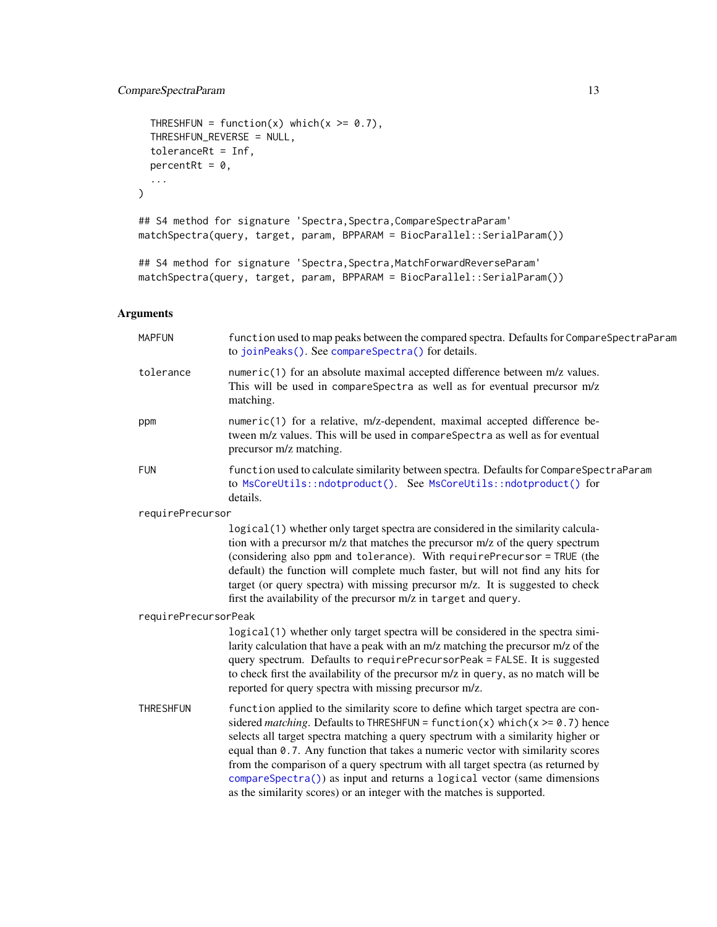```
THRESHFUN = function(x) which(x >= 0.7),
 THRESHFUN_REVERSE = NULL,
 toleranceRt = Inf,
 percentRt = 0,
  ...
\mathcal{L}## S4 method for signature 'Spectra, Spectra, CompareSpectraParam'
matchSpectra(query, target, param, BPPARAM = BiocParallel::SerialParam())
## S4 method for signature 'Spectra, Spectra, MatchForwardReverseParam'
matchSpectra(query, target, param, BPPARAM = BiocParallel::SerialParam())
```
# Arguments

| <b>MAPFUN</b>        | function used to map peaks between the compared spectra. Defaults for CompareSpectraParam<br>to joinPeaks(). See compareSpectra() for details.                                                                                                                                                                                                                                                                                                                                                                                                                                     |
|----------------------|------------------------------------------------------------------------------------------------------------------------------------------------------------------------------------------------------------------------------------------------------------------------------------------------------------------------------------------------------------------------------------------------------------------------------------------------------------------------------------------------------------------------------------------------------------------------------------|
| tolerance            | numeric(1) for an absolute maximal accepted difference between m/z values.<br>This will be used in compareSpectra as well as for eventual precursor m/z<br>matching.                                                                                                                                                                                                                                                                                                                                                                                                               |
| ppm                  | numeric(1) for a relative, m/z-dependent, maximal accepted difference be-<br>tween m/z values. This will be used in compareSpectra as well as for eventual<br>precursor m/z matching.                                                                                                                                                                                                                                                                                                                                                                                              |
| <b>FUN</b>           | function used to calculate similarity between spectra. Defaults for CompareSpectraParam<br>to MsCoreUtils::ndotproduct(). See MsCoreUtils::ndotproduct() for<br>details.                                                                                                                                                                                                                                                                                                                                                                                                           |
| requirePrecursor     |                                                                                                                                                                                                                                                                                                                                                                                                                                                                                                                                                                                    |
|                      | logical(1) whether only target spectra are considered in the similarity calcula-<br>tion with a precursor m/z that matches the precursor m/z of the query spectrum<br>(considering also ppm and tolerance). With requirePrecursor = TRUE (the<br>default) the function will complete much faster, but will not find any hits for<br>target (or query spectra) with missing precursor m/z. It is suggested to check<br>first the availability of the precursor m/z in target and query.                                                                                             |
| requirePrecursorPeak |                                                                                                                                                                                                                                                                                                                                                                                                                                                                                                                                                                                    |
|                      | logical(1) whether only target spectra will be considered in the spectra simi-<br>larity calculation that have a peak with an m/z matching the precursor m/z of the<br>query spectrum. Defaults to requirePrecursorPeak = FALSE. It is suggested<br>to check first the availability of the precursor m/z in query, as no match will be<br>reported for query spectra with missing precursor m/z.                                                                                                                                                                                   |
| <b>THRESHFUN</b>     | function applied to the similarity score to define which target spectra are con-<br>sidered matching. Defaults to THRESHFUN = function(x) which(x $>= 0.7$ ) hence<br>selects all target spectra matching a query spectrum with a similarity higher or<br>equal than 0.7. Any function that takes a numeric vector with similarity scores<br>from the comparison of a query spectrum with all target spectra (as returned by<br>compareSpectra()) as input and returns a logical vector (same dimensions<br>as the similarity scores) or an integer with the matches is supported. |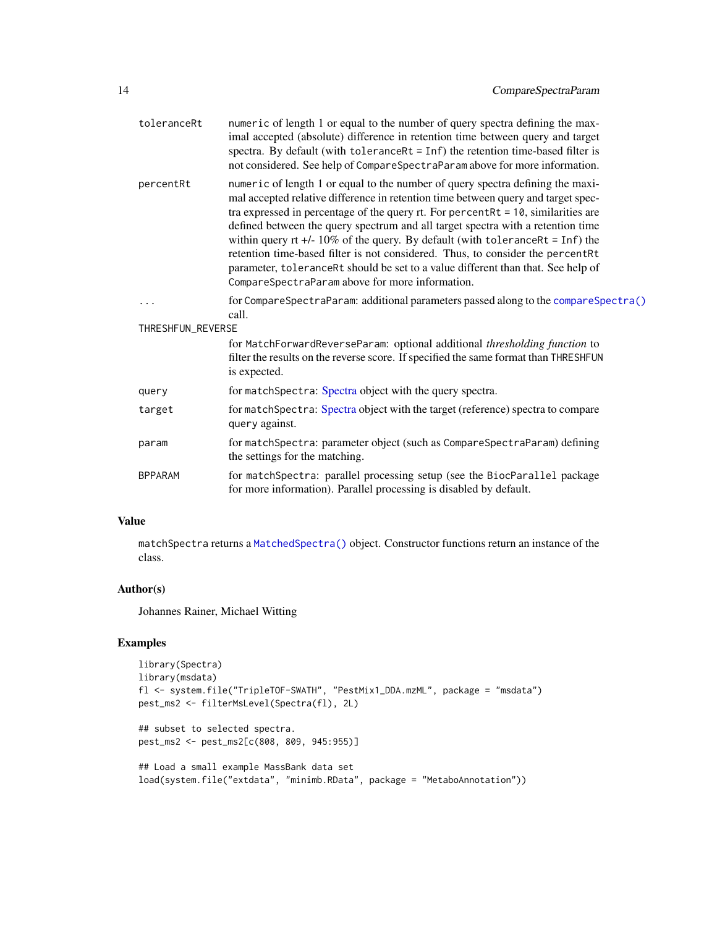<span id="page-13-0"></span>

| toleranceRt       | numeric of length 1 or equal to the number of query spectra defining the max-<br>imal accepted (absolute) difference in retention time between query and target<br>spectra. By default (with $toleranceRt = Inf$ ) the retention time-based filter is<br>not considered. See help of CompareSpectraParam above for more information.                                                                                                                                                                                                                                                                                                                         |
|-------------------|--------------------------------------------------------------------------------------------------------------------------------------------------------------------------------------------------------------------------------------------------------------------------------------------------------------------------------------------------------------------------------------------------------------------------------------------------------------------------------------------------------------------------------------------------------------------------------------------------------------------------------------------------------------|
| percentRt         | numeric of length 1 or equal to the number of query spectra defining the maxi-<br>mal accepted relative difference in retention time between query and target spec-<br>tra expressed in percentage of the query rt. For percent $Rt = 10$ , similarities are<br>defined between the query spectrum and all target spectra with a retention time<br>within query rt +/- $10\%$ of the query. By default (with toleranceRt = Inf) the<br>retention time-based filter is not considered. Thus, to consider the percentRt<br>parameter, toleranceRt should be set to a value different than that. See help of<br>CompareSpectraParam above for more information. |
|                   | for CompareSpectraParam: additional parameters passed along to the compareSpectra()<br>call.                                                                                                                                                                                                                                                                                                                                                                                                                                                                                                                                                                 |
| THRESHFUN_REVERSE |                                                                                                                                                                                                                                                                                                                                                                                                                                                                                                                                                                                                                                                              |
|                   | for MatchForwardReverseParam: optional additional thresholding function to<br>filter the results on the reverse score. If specified the same format than THRESHFUN<br>is expected.                                                                                                                                                                                                                                                                                                                                                                                                                                                                           |
| query             | for matchSpectra: Spectra object with the query spectra.                                                                                                                                                                                                                                                                                                                                                                                                                                                                                                                                                                                                     |
| target            | for matchSpectra: Spectra object with the target (reference) spectra to compare<br>query against.                                                                                                                                                                                                                                                                                                                                                                                                                                                                                                                                                            |
| param             | for matchSpectra: parameter object (such as CompareSpectraParam) defining<br>the settings for the matching.                                                                                                                                                                                                                                                                                                                                                                                                                                                                                                                                                  |
| <b>BPPARAM</b>    | for matchSpectra: parallel processing setup (see the BiocParallel package<br>for more information). Parallel processing is disabled by default.                                                                                                                                                                                                                                                                                                                                                                                                                                                                                                              |
|                   |                                                                                                                                                                                                                                                                                                                                                                                                                                                                                                                                                                                                                                                              |

# Value

matchSpectra returns a [MatchedSpectra\(\)](#page-14-1) object. Constructor functions return an instance of the class.

# Author(s)

Johannes Rainer, Michael Witting

# Examples

```
library(Spectra)
library(msdata)
fl <- system.file("TripleTOF-SWATH", "PestMix1_DDA.mzML", package = "msdata")
pest_ms2 <- filterMsLevel(Spectra(fl), 2L)
## subset to selected spectra.
pest_ms2 <- pest_ms2[c(808, 809, 945:955)]
## Load a small example MassBank data set
load(system.file("extdata", "minimb.RData", package = "MetaboAnnotation"))
```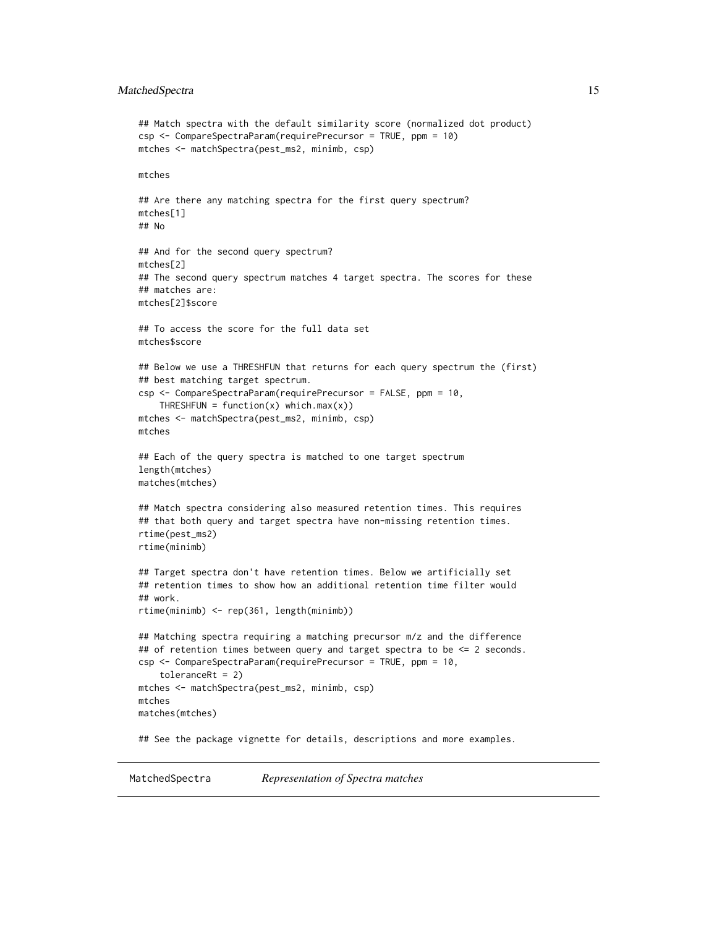# <span id="page-14-0"></span>MatchedSpectra 15

```
## Match spectra with the default similarity score (normalized dot product)
csp <- CompareSpectraParam(requirePrecursor = TRUE, ppm = 10)
mtches <- matchSpectra(pest_ms2, minimb, csp)
mtches
## Are there any matching spectra for the first query spectrum?
mtches[1]
## No
## And for the second query spectrum?
mtches[2]
## The second query spectrum matches 4 target spectra. The scores for these
## matches are:
mtches[2]$score
## To access the score for the full data set
mtches$score
## Below we use a THRESHFUN that returns for each query spectrum the (first)
## best matching target spectrum.
csp <- CompareSpectraParam(requirePrecursor = FALSE, ppm = 10,
   THRESHFUN = function(x) which.max(x))
mtches <- matchSpectra(pest_ms2, minimb, csp)
mtches
## Each of the query spectra is matched to one target spectrum
length(mtches)
matches(mtches)
## Match spectra considering also measured retention times. This requires
## that both query and target spectra have non-missing retention times.
rtime(pest_ms2)
rtime(minimb)
## Target spectra don't have retention times. Below we artificially set
## retention times to show how an additional retention time filter would
## work.
rtime(minimb) <- rep(361, length(minimb))
## Matching spectra requiring a matching precursor m/z and the difference
## of retention times between query and target spectra to be <= 2 seconds.
csp <- CompareSpectraParam(requirePrecursor = TRUE, ppm = 10,
    toleranceRt = 2)
mtches <- matchSpectra(pest_ms2, minimb, csp)
mtches
matches(mtches)
## See the package vignette for details, descriptions and more examples.
```
<span id="page-14-1"></span>MatchedSpectra *Representation of Spectra matches*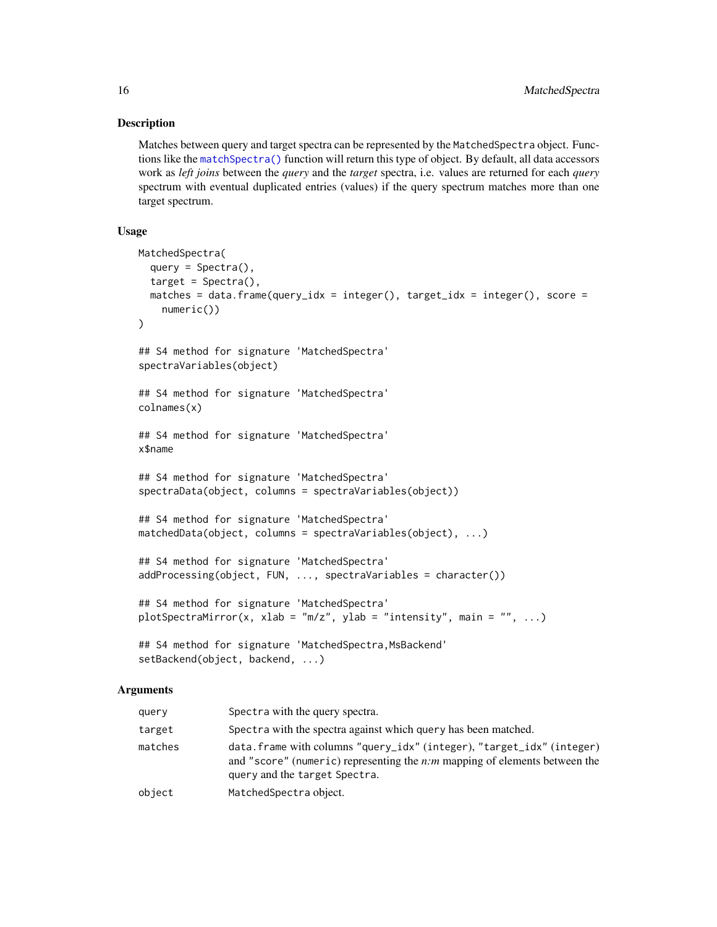# Description

Matches between query and target spectra can be represented by the MatchedSpectra object. Functions like the [matchSpectra\(\)](#page-21-1) function will return this type of object. By default, all data accessors work as *left joins* between the *query* and the *target* spectra, i.e. values are returned for each *query* spectrum with eventual duplicated entries (values) if the query spectrum matches more than one target spectrum.

# Usage

```
MatchedSpectra(
  query = Spectra(),
  target = Spectra(),
 matches = data.frame(query_idx = integer(), target_idx = integer(), score =
    numeric())
)
## S4 method for signature 'MatchedSpectra'
spectraVariables(object)
## S4 method for signature 'MatchedSpectra'
colnames(x)
## S4 method for signature 'MatchedSpectra'
x$name
## S4 method for signature 'MatchedSpectra'
spectraData(object, columns = spectraVariables(object))
## S4 method for signature 'MatchedSpectra'
matchedData(object, columns = spectraVariables(object), ...)
## S4 method for signature 'MatchedSpectra'
addProcessing(object, FUN, ..., spectraVariables = character())
## S4 method for signature 'MatchedSpectra'
plotSpectraMirror(x, xlab = "m/z", ylab = "intensity", main = "", ...)
## S4 method for signature 'MatchedSpectra, MsBackend'
setBackend(object, backend, ...)
```
# Arguments

| query   | Spectra with the query spectra.                                                                                                                                                         |
|---------|-----------------------------------------------------------------------------------------------------------------------------------------------------------------------------------------|
| target  | Spectra with the spectra against which query has been matched.                                                                                                                          |
| matches | data. frame with columns "query_idx" (integer), "target_idx" (integer)<br>and "score" (numeric) representing the $n:m$ mapping of elements between the<br>query and the target Spectra. |
| object  | MatchedSpectra object.                                                                                                                                                                  |

<span id="page-15-0"></span>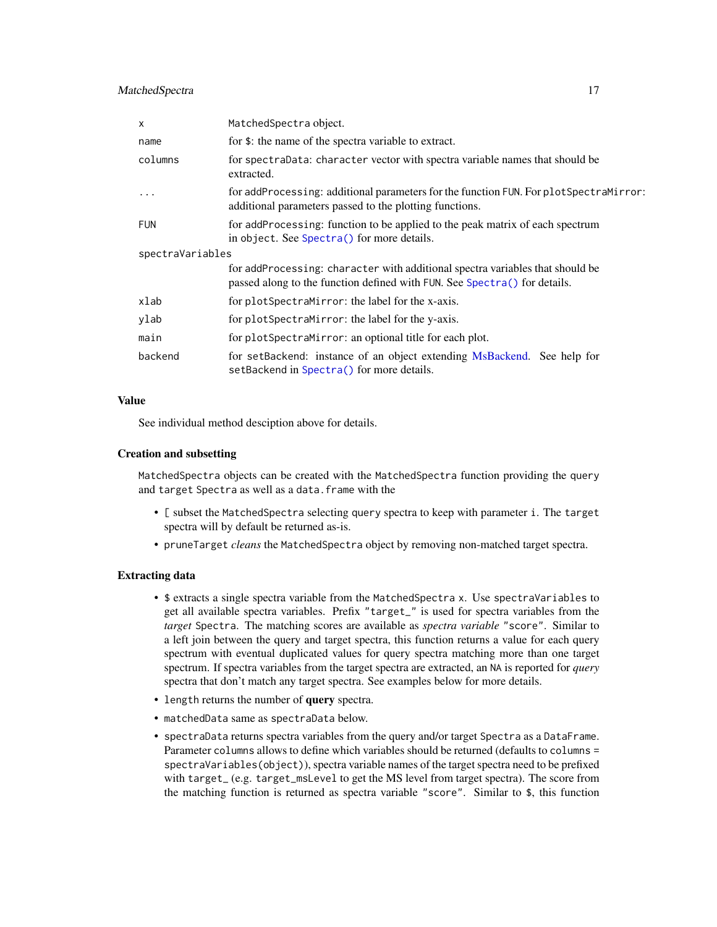# <span id="page-16-0"></span>MatchedSpectra 17

| $\times$         | MatchedSpectra object.                                                                                                                                     |
|------------------|------------------------------------------------------------------------------------------------------------------------------------------------------------|
| name             | for \$: the name of the spectra variable to extract.                                                                                                       |
| columns          | for spectraData: character vector with spectra variable names that should be<br>extracted.                                                                 |
| $\ddotsc$        | for addProcessing: additional parameters for the function FUN. For plotSpectraMirror:<br>additional parameters passed to the plotting functions.           |
| <b>FUN</b>       | for addProcessing: function to be applied to the peak matrix of each spectrum<br>in object. See Spectra() for more details.                                |
| spectraVariables |                                                                                                                                                            |
|                  | for addProcessing: character with additional spectra variables that should be<br>passed along to the function defined with FUN. See Spectra() for details. |
| xlab             | for plotSpectraMirror: the label for the x-axis.                                                                                                           |
| ylab             | for plotSpectraMirror: the label for the y-axis.                                                                                                           |
| main             | for plotSpectraMirror: an optional title for each plot.                                                                                                    |
| backend          | for setBackend: instance of an object extending MsBackend. See help for<br>setBackend in Spectra() for more details.                                       |

#### Value

See individual method desciption above for details.

#### Creation and subsetting

MatchedSpectra objects can be created with the MatchedSpectra function providing the query and target Spectra as well as a data.frame with the

- [ subset the MatchedSpectra selecting query spectra to keep with parameter i. The target spectra will by default be returned as-is.
- pruneTarget *cleans* the MatchedSpectra object by removing non-matched target spectra.

#### Extracting data

- \$ extracts a single spectra variable from the MatchedSpectra x. Use spectraVariables to get all available spectra variables. Prefix "target\_" is used for spectra variables from the *target* Spectra. The matching scores are available as *spectra variable* "score". Similar to a left join between the query and target spectra, this function returns a value for each query spectrum with eventual duplicated values for query spectra matching more than one target spectrum. If spectra variables from the target spectra are extracted, an NA is reported for *query* spectra that don't match any target spectra. See examples below for more details.
- length returns the number of query spectra.
- matchedData same as spectraData below.
- spectraData returns spectra variables from the query and/or target Spectra as a DataFrame. Parameter columns allows to define which variables should be returned (defaults to columns = spectraVariables(object)), spectra variable names of the target spectra need to be prefixed with target\_ (e.g. target\_msLevel to get the MS level from target spectra). The score from the matching function is returned as spectra variable "score". Similar to \$, this function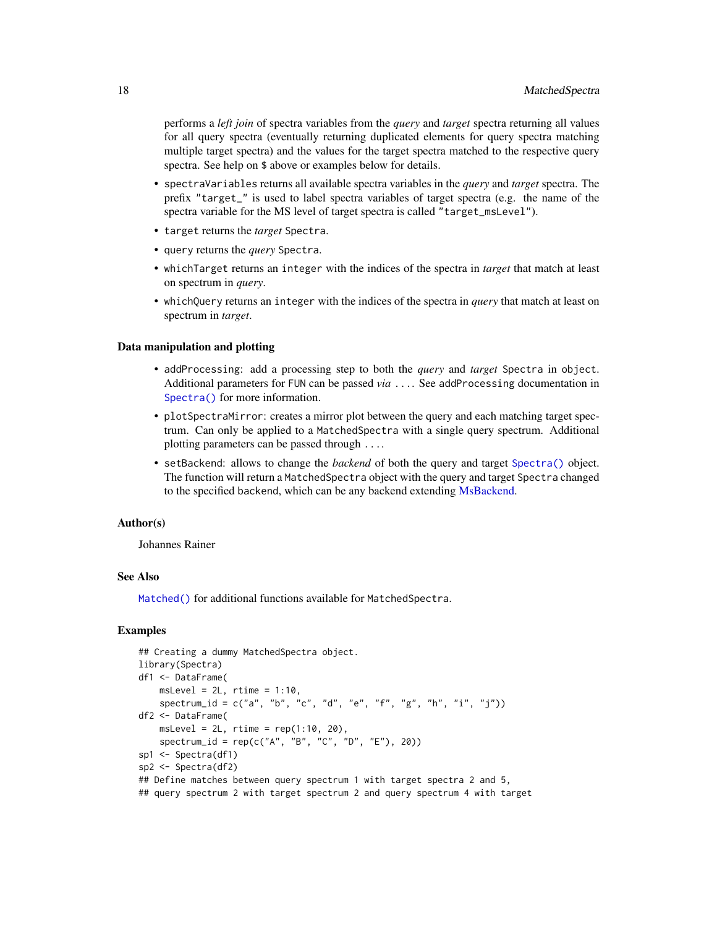<span id="page-17-0"></span>performs a *left join* of spectra variables from the *query* and *target* spectra returning all values for all query spectra (eventually returning duplicated elements for query spectra matching multiple target spectra) and the values for the target spectra matched to the respective query spectra. See help on \$ above or examples below for details.

- spectraVariables returns all available spectra variables in the *query* and *target* spectra. The prefix "target\_" is used to label spectra variables of target spectra (e.g. the name of the spectra variable for the MS level of target spectra is called "target\_msLevel").
- target returns the *target* Spectra.
- query returns the *query* Spectra.
- whichTarget returns an integer with the indices of the spectra in *target* that match at least on spectrum in *query*.
- whichQuery returns an integer with the indices of the spectra in *query* that match at least on spectrum in *target*.

#### Data manipulation and plotting

- addProcessing: add a processing step to both the *query* and *target* Spectra in object. Additional parameters for FUN can be passed *via* .... See addProcessing documentation in [Spectra\(\)](#page-0-0) for more information.
- plotSpectraMirror: creates a mirror plot between the query and each matching target spectrum. Can only be applied to a MatchedSpectra with a single query spectrum. Additional plotting parameters can be passed through ....
- setBackend: allows to change the *backend* of both the query and target [Spectra\(\)](#page-0-0) object. The function will return a MatchedSpectra object with the query and target Spectra changed to the specified backend, which can be any backend extending [MsBackend.](#page-0-0)

# Author(s)

Johannes Rainer

# See Also

[Matched\(\)](#page-1-1) for additional functions available for MatchedSpectra.

# Examples

```
## Creating a dummy MatchedSpectra object.
library(Spectra)
df1 <- DataFrame(
   msLevel = 2L, rtime = 1:10,
    spectrum_id = c("a", "b", "c", "d", "e", "f", "g", "h", "i", "j"))df2 <- DataFrame(
    msLevel = 2L, rtime = rep(1:10, 20),
    spectrum_id = rep(c("A", "B", "C", "D", "E"), 20))
sp1 <- Spectra(df1)
sp2 <- Spectra(df2)
## Define matches between query spectrum 1 with target spectra 2 and 5,
## query spectrum 2 with target spectrum 2 and query spectrum 4 with target
```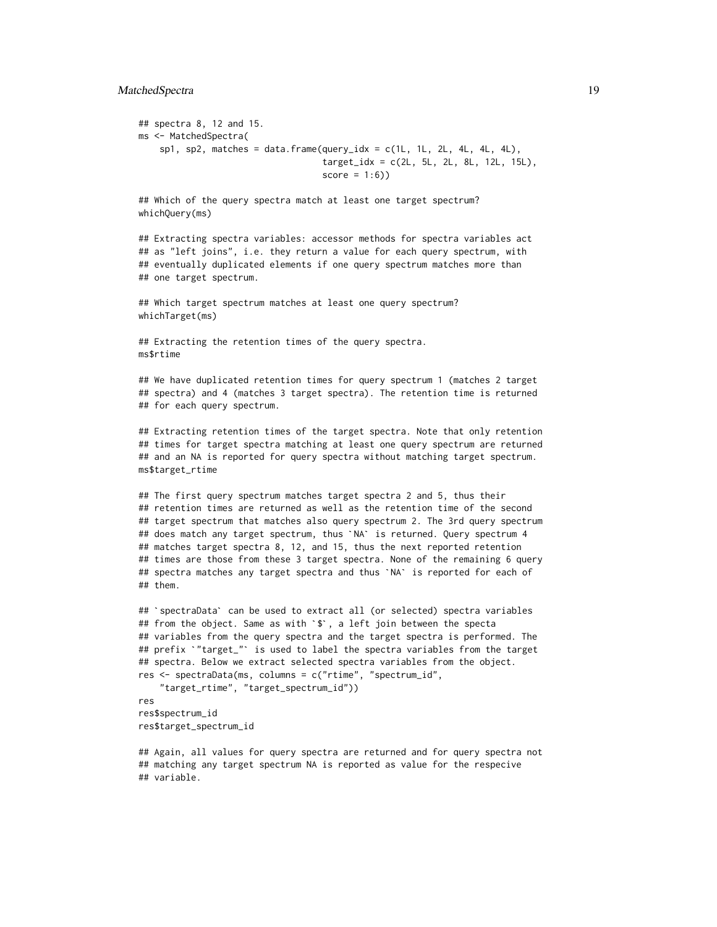# MatchedSpectra 19

```
## spectra 8, 12 and 15.
ms <- MatchedSpectra(
   sp1, sp2, matches = data.frame(query_idx = c(1L, 1L, 2L, 4L, 4L, 4L),
                                   target_idx = c(2L, 5L, 2L, 8L, 12L, 15L),
                                   score = 1:6))
```
## Which of the query spectra match at least one target spectrum? whichQuery(ms)

## Extracting spectra variables: accessor methods for spectra variables act ## as "left joins", i.e. they return a value for each query spectrum, with ## eventually duplicated elements if one query spectrum matches more than ## one target spectrum.

## Which target spectrum matches at least one query spectrum? whichTarget(ms)

## Extracting the retention times of the query spectra. ms\$rtime

## We have duplicated retention times for query spectrum 1 (matches 2 target ## spectra) and 4 (matches 3 target spectra). The retention time is returned ## for each query spectrum.

## Extracting retention times of the target spectra. Note that only retention ## times for target spectra matching at least one query spectrum are returned ## and an NA is reported for query spectra without matching target spectrum. ms\$target\_rtime

## The first query spectrum matches target spectra 2 and 5, thus their ## retention times are returned as well as the retention time of the second ## target spectrum that matches also query spectrum 2. The 3rd query spectrum ## The first query spectrum matches target spectra 2 and 5, thus their<br>## retention times are returned as well as the retention time of the secon<br>## target spectrum that matches also query spectrum 2. The 3rd query spectru ## matches target spectra 8, 12, and 15, thus the next reported retention ## times are those from these 3 target spectra. None of the remaining 6 query ## does match any target spectrum, thus `NA` is returned. Query spectrum 4<br>## matches target spectra 8, 12, and 15, thus the next reported retention<br>## times are those from these 3 target spectra. None of the remaining 6 q ## them. ## spectra matches any target spectra and thus `NA` is reported for each of<br>## them.<br>## `spectraData` can be used to extract all (or selected) spectra variables

```
## `spectraData` can be used to extract all (or selected) spectra variables<br>## from the object. Same as with `$`, a left join between the specta
## variables from the query spectra and the target spectra is performed. The
## prefix `"target_"` is used to label the spectra variables from the target
## spectra. Below we extract selected spectra variables from the object.
res <- spectraData(ms, columns = c("rtime", "spectrum_id",
    "target_rtime", "target_spectrum_id"))
```

```
res
res$spectrum_id
res$target_spectrum_id
```
## Again, all values for query spectra are returned and for query spectra not ## matching any target spectrum NA is reported as value for the respecive ## variable.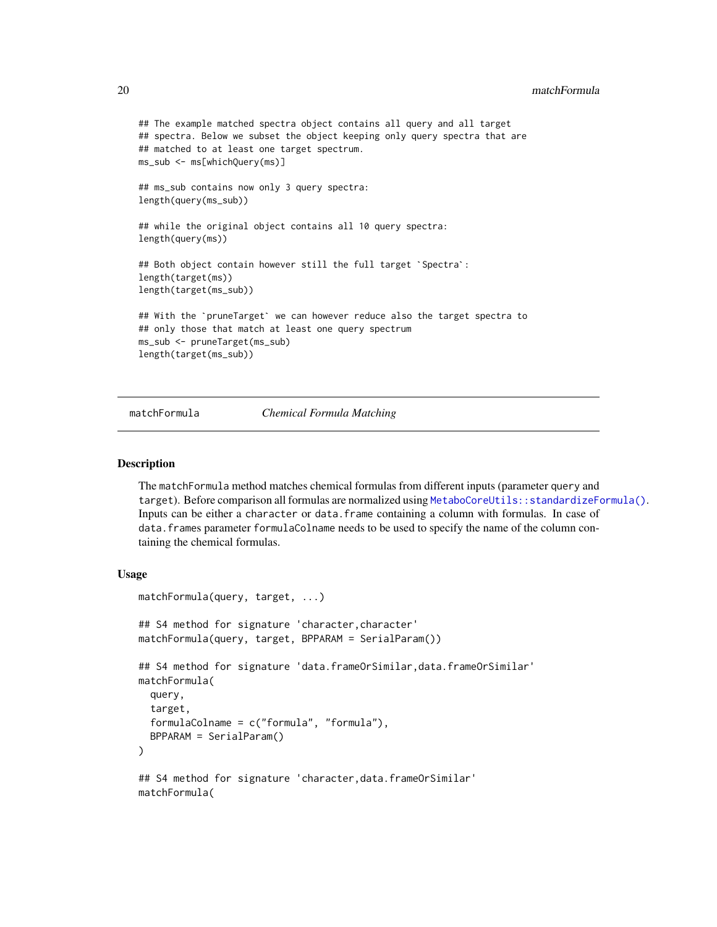```
## The example matched spectra object contains all query and all target
## spectra. Below we subset the object keeping only query spectra that are
## matched to at least one target spectrum.
ms_sub <- ms[whichQuery(ms)]
## ms_sub contains now only 3 query spectra:
length(query(ms_sub))
## while the original object contains all 10 query spectra:
length(query(ms))
## Both object contain however still the full target `Spectra`:
length(target(ms))
length(target(ms_sub))
## With the `pruneTarget` we can however reduce also the target spectra to
## only those that match at least one query spectrum
ms_sub <- pruneTarget(ms_sub)
length(target(ms_sub))
```
#### matchFormula *Chemical Formula Matching*

# Description

The matchFormula method matches chemical formulas from different inputs (parameter query and target). Before comparison all formulas are normalized using [MetaboCoreUtils::standardizeFormula\(\)](#page-0-0). Inputs can be either a character or data.frame containing a column with formulas. In case of data. frames parameter formulaColname needs to be used to specify the name of the column containing the chemical formulas.

#### Usage

```
matchFormula(query, target, ...)
## S4 method for signature 'character, character'
matchFormula(query, target, BPPARAM = SerialParam())
## S4 method for signature 'data.frameOrSimilar,data.frameOrSimilar'
matchFormula(
  query,
  target,
  formulaColname = c("formula", "formula"),
 BPPARAM = SerialParam()
)
## S4 method for signature 'character,data.frameOrSimilar'
matchFormula(
```
<span id="page-19-0"></span>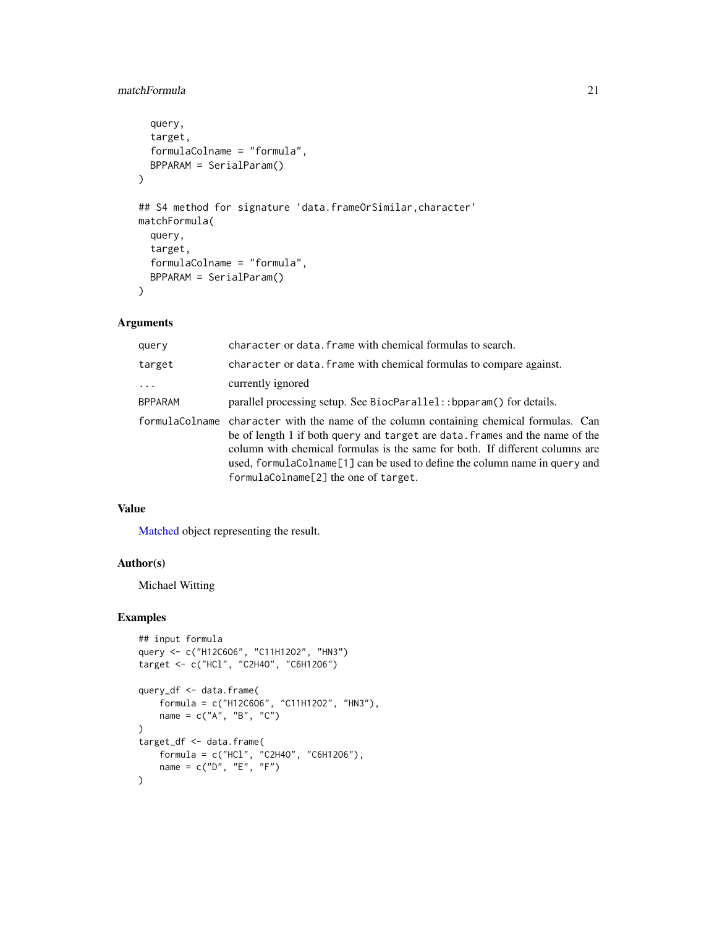# <span id="page-20-0"></span>matchFormula 21

```
query,
  target,
  formulaColname = "formula",
 BPPARAM = SerialParam()
\mathcal{L}## S4 method for signature 'data.frameOrSimilar, character'
matchFormula(
 query,
  target,
  formulaColname = "formula",
 BPPARAM = SerialParam()
)
```
# Arguments

| query    | character or data. frame with chemical formulas to search.                                                                                                                                                                                                                                                                                                                     |
|----------|--------------------------------------------------------------------------------------------------------------------------------------------------------------------------------------------------------------------------------------------------------------------------------------------------------------------------------------------------------------------------------|
| target   | character or data. frame with chemical formulas to compare against.                                                                                                                                                                                                                                                                                                            |
| $\cdots$ | currently ignored                                                                                                                                                                                                                                                                                                                                                              |
| BPPARAM  | parallel processing setup. See BiocParallel:: bpparam() for details.                                                                                                                                                                                                                                                                                                           |
|          | formulaColname character with the name of the column containing chemical formulas. Can<br>be of length 1 if both query and target are data. frames and the name of the<br>column with chemical formulas is the same for both. If different columns are<br>used, formula Colname [1] can be used to define the column name in query and<br>formulaColname[2] the one of target. |

# Value

[Matched](#page-1-1) object representing the result.

# Author(s)

Michael Witting

# Examples

```
## input formula
query <- c("H12C6O6", "C11H12O2", "HN3")
target <- c("HCl", "C2H4O", "C6H12O6")
query_df <- data.frame(
    formula = c("H12C6O6", "C11H12O2", "HN3"),
    name = c("A", "B", "C"))
target_df <- data.frame(
    formula = c("HCl", "C2H4O", "C6H12O6"),
    name = c("D", "E", "F")
\mathcal{L}
```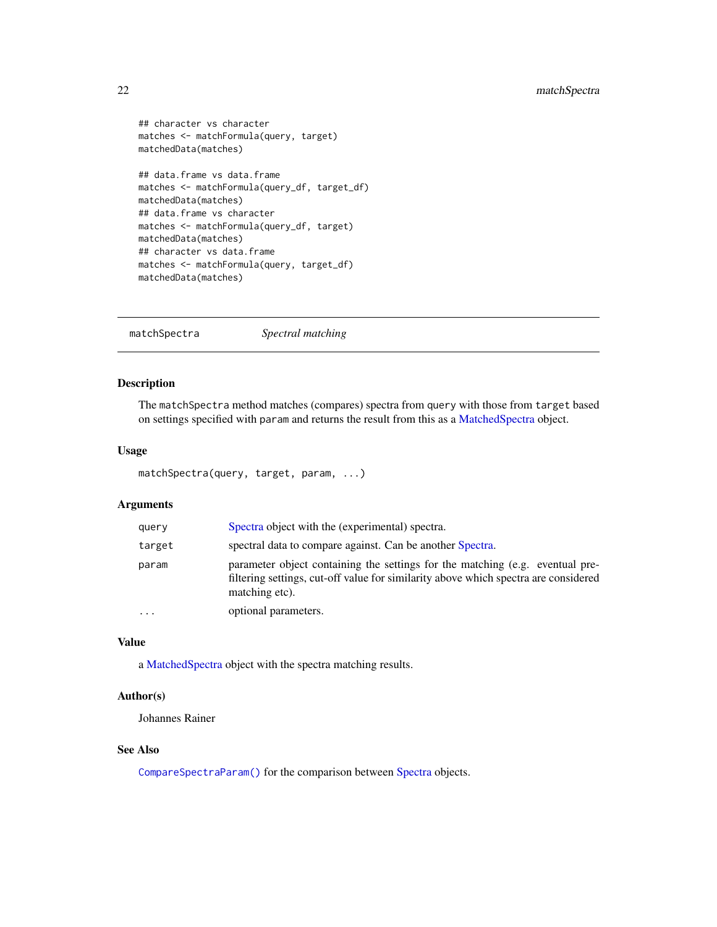```
## character vs character
matches <- matchFormula(query, target)
matchedData(matches)
## data.frame vs data.frame
matches <- matchFormula(query_df, target_df)
```

```
matchedData(matches)
## data.frame vs character
matches <- matchFormula(query_df, target)
matchedData(matches)
## character vs data.frame
matches <- matchFormula(query, target_df)
matchedData(matches)
```
<span id="page-21-1"></span>matchSpectra *Spectral matching*

# Description

The matchSpectra method matches (compares) spectra from query with those from target based on settings specified with param and returns the result from this as a [MatchedSpectra](#page-14-1) object.

# Usage

```
matchSpectra(query, target, param, ...)
```
# Arguments

| query     | Spectra object with the (experimental) spectra.                                                                                                                                        |
|-----------|----------------------------------------------------------------------------------------------------------------------------------------------------------------------------------------|
| target    | spectral data to compare against. Can be another Spectra.                                                                                                                              |
| param     | parameter object containing the settings for the matching (e.g. eventual pre-<br>filtering settings, cut-off value for similarity above which spectra are considered<br>matching etc). |
| $\ddotsc$ | optional parameters.                                                                                                                                                                   |

#### Value

a [MatchedSpectra](#page-14-1) object with the spectra matching results.

# Author(s)

Johannes Rainer

# See Also

[CompareSpectraParam\(\)](#page-10-1) for the comparison between [Spectra](#page-0-0) objects.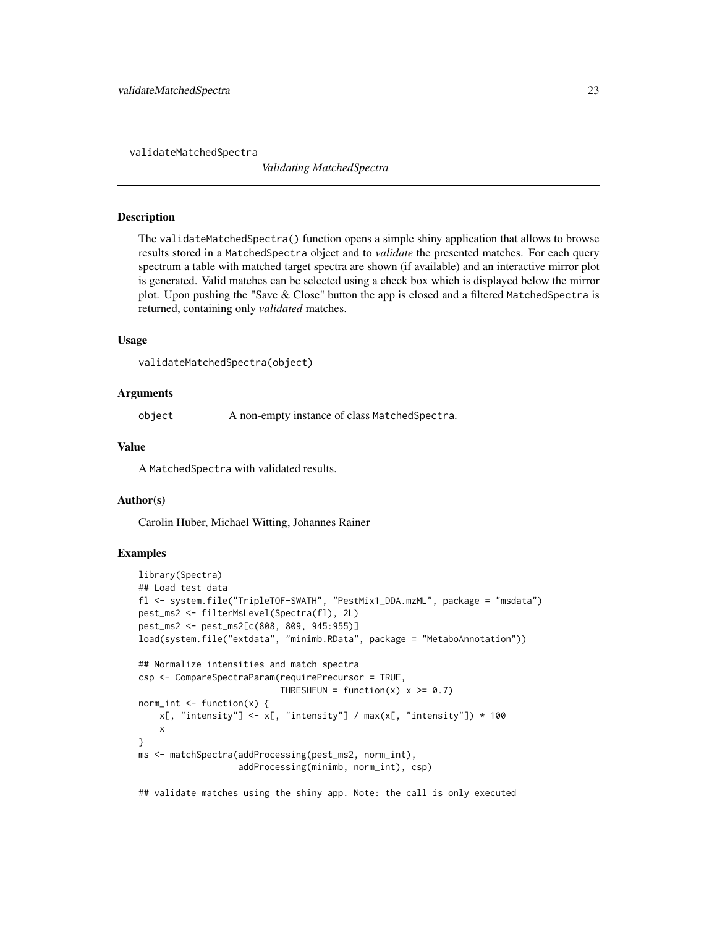<span id="page-22-0"></span>validateMatchedSpectra

*Validating MatchedSpectra*

# Description

The validateMatchedSpectra() function opens a simple shiny application that allows to browse results stored in a MatchedSpectra object and to *validate* the presented matches. For each query spectrum a table with matched target spectra are shown (if available) and an interactive mirror plot is generated. Valid matches can be selected using a check box which is displayed below the mirror plot. Upon pushing the "Save & Close" button the app is closed and a filtered MatchedSpectra is returned, containing only *validated* matches.

# Usage

```
validateMatchedSpectra(object)
```
# Arguments

object A non-empty instance of class MatchedSpectra.

# Value

A MatchedSpectra with validated results.

#### Author(s)

Carolin Huber, Michael Witting, Johannes Rainer

# Examples

```
library(Spectra)
## Load test data
fl <- system.file("TripleTOF-SWATH", "PestMix1_DDA.mzML", package = "msdata")
pest_ms2 <- filterMsLevel(Spectra(fl), 2L)
pest_ms2 <- pest_ms2[c(808, 809, 945:955)]
load(system.file("extdata", "minimb.RData", package = "MetaboAnnotation"))
## Normalize intensities and match spectra
csp <- CompareSpectraParam(requirePrecursor = TRUE,
                           THRESHFUN = function(x) x \ge 0.7)
norm\_int \leftarrow function(x) {
   x[, "intensity"] <- x[, "intensity"] / max(x[, "intensity"]) * 100
    x
}
ms <- matchSpectra(addProcessing(pest_ms2, norm_int),
                   addProcessing(minimb, norm_int), csp)
```
## validate matches using the shiny app. Note: the call is only executed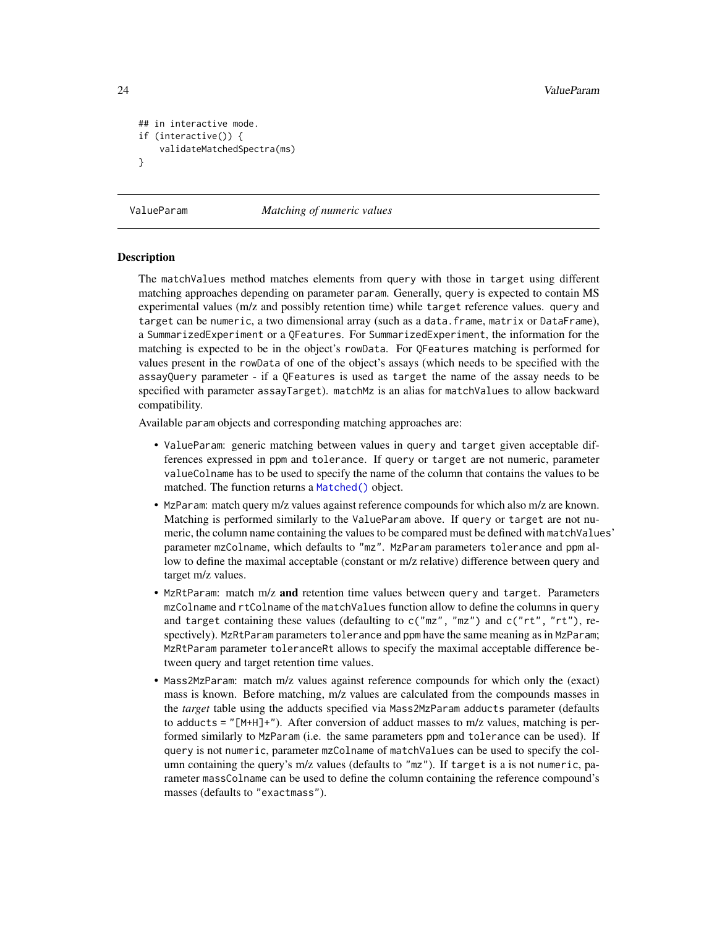```
## in interactive mode.
if (interactive()) {
    validateMatchedSpectra(ms)
}
```
ValueParam *Matching of numeric values*

# <span id="page-23-1"></span>**Description**

The matchValues method matches elements from query with those in target using different matching approaches depending on parameter param. Generally, query is expected to contain MS experimental values (m/z and possibly retention time) while target reference values. query and target can be numeric, a two dimensional array (such as a data.frame, matrix or DataFrame), a SummarizedExperiment or a QFeatures. For SummarizedExperiment, the information for the matching is expected to be in the object's rowData. For QFeatures matching is performed for values present in the rowData of one of the object's assays (which needs to be specified with the assayQuery parameter - if a QFeatures is used as target the name of the assay needs to be specified with parameter assayTarget). matchMz is an alias for matchValues to allow backward compatibility.

Available param objects and corresponding matching approaches are:

- ValueParam: generic matching between values in query and target given acceptable differences expressed in ppm and tolerance. If query or target are not numeric, parameter valueColname has to be used to specify the name of the column that contains the values to be matched. The function returns a [Matched\(\)](#page-1-1) object.
- MzParam: match query m/z values against reference compounds for which also m/z are known. Matching is performed similarly to the ValueParam above. If query or target are not numeric, the column name containing the values to be compared must be defined with matchValues' parameter mzColname, which defaults to "mz". MzParam parameters tolerance and ppm allow to define the maximal acceptable (constant or m/z relative) difference between query and target m/z values.
- MzRtParam: match  $m/z$  and retention time values between query and target. Parameters mzColname and rtColname of the matchValues function allow to define the columns in query and target containing these values (defaulting to  $c("mz", "mz")$  and  $c("rt", "rt"),$ spectively). MzRtParam parameters tolerance and ppm have the same meaning as in MzParam; MzRtParam parameter toleranceRt allows to specify the maximal acceptable difference between query and target retention time values.
- Mass2MzParam: match m/z values against reference compounds for which only the (exact) mass is known. Before matching, m/z values are calculated from the compounds masses in the *target* table using the adducts specified via Mass2MzParam adducts parameter (defaults to adducts = " $[M+H]+$ "). After conversion of adduct masses to m/z values, matching is performed similarly to MzParam (i.e. the same parameters ppm and tolerance can be used). If query is not numeric, parameter mzColname of matchValues can be used to specify the column containing the query's m/z values (defaults to "mz"). If target is a is not numeric, parameter massColname can be used to define the column containing the reference compound's masses (defaults to "exactmass").

<span id="page-23-0"></span>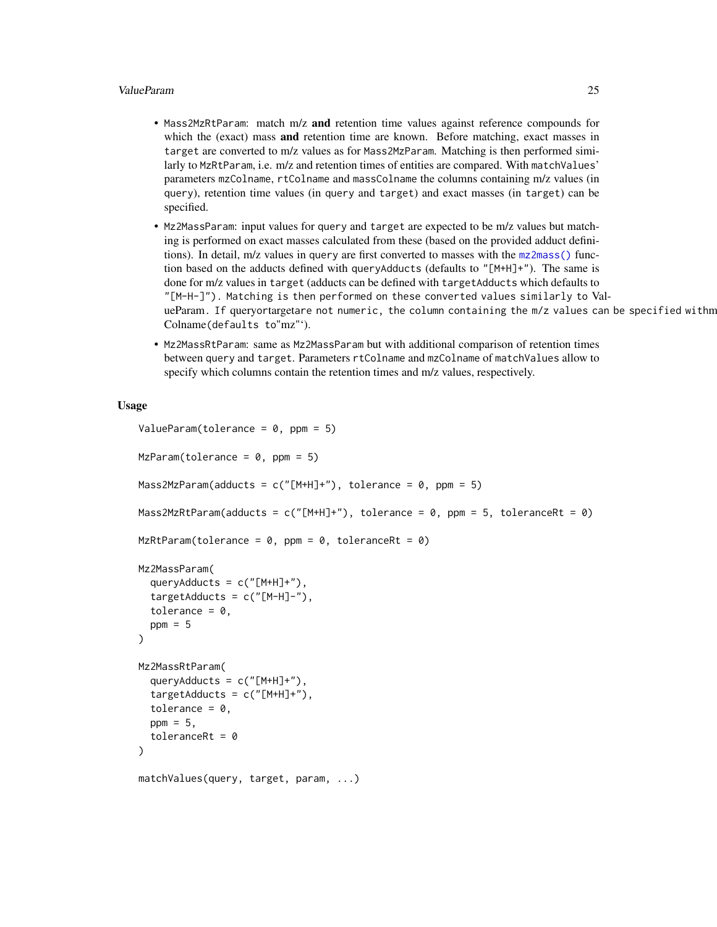# <span id="page-24-0"></span>ValueParam 25

- Mass2MzRtParam: match m/z and retention time values against reference compounds for which the (exact) mass **and** retention time are known. Before matching, exact masses in target are converted to m/z values as for Mass2MzParam. Matching is then performed similarly to MzRtParam, i.e. m/z and retention times of entities are compared. With matchValues' parameters mzColname, rtColname and massColname the columns containing m/z values (in query), retention time values (in query and target) and exact masses (in target) can be specified.
- Mz2MassParam: input values for query and target are expected to be m/z values but matching is performed on exact masses calculated from these (based on the provided adduct definitions). In detail, m/z values in query are first converted to masses with the [mz2mass\(\)](#page-0-0) function based on the adducts defined with queryAdducts (defaults to "[M+H]+"). The same is done for m/z values in target (adducts can be defined with targetAdducts which defaults to "[M-H-]"). Matching is then performed on these converted values similarly to ValueParam. If queryortargetare not numeric, the column containing the m/z values can be specified withm Colname(defaults to"mz"').
- Mz2MassRtParam: same as Mz2MassParam but with additional comparison of retention times between query and target. Parameters rtColname and mzColname of matchValues allow to specify which columns contain the retention times and m/z values, respectively.

# Usage

```
ValueParam(tolerance = 0, ppm = 5)
MzParam(tolerance = 0, ppm = 5)Mass2MzParam(adducts = c("[M+H]+"), tolerance = 0, ppm = 5)
Mass2MzRtParam(adducts = c("[M+H]+"), tolerance = 0, ppm = 5, toleranceRt = 0)
MzRtParam(tolerance = 0, ppm = 0, toleranceRt = 0)
Mz2MassParam(
  queryAdducts = c("[M+H]+"),
  targetAddress = c("[M-H]-"),
  tolerance = 0,
 ppm = 5)
Mz2MassRtParam(
  queryAdducts = c("[M+H]+"),
  targetAddress = c("[M+H]+"),
  tolerance = 0,
 ppm = 5,
  toleranceRt = 0)
matchValues(query, target, param, ...)
```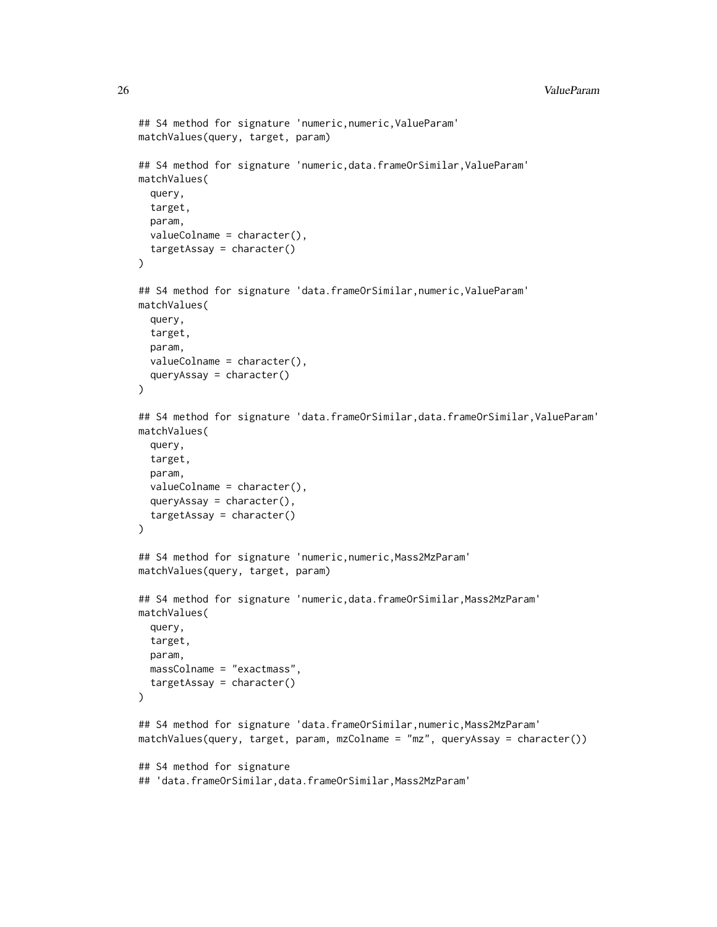```
## S4 method for signature 'numeric,numeric,ValueParam'
matchValues(query, target, param)
## S4 method for signature 'numeric,data.frameOrSimilar,ValueParam'
matchValues(
  query,
  target,
  param,
  valueColname = character(),
  targetAssay = character()
\mathcal{L}## S4 method for signature 'data.frameOrSimilar,numeric,ValueParam'
matchValues(
  query,
  target,
 param,
  valueColname = character(),
  queryAssay = character()
\lambda## S4 method for signature 'data.frameOrSimilar,data.frameOrSimilar,ValueParam'
matchValues(
  query,
  target,
  param,
  valueColname = character(),
  queryAssay = character(),
  targetAssay = character()
\mathcal{L}## S4 method for signature 'numeric,numeric,Mass2MzParam'
matchValues(query, target, param)
## S4 method for signature 'numeric,data.frameOrSimilar,Mass2MzParam'
matchValues(
  query,
  target,
  param,
  massColname = "exactmass",
  targetAssay = character()
\lambda## S4 method for signature 'data.frameOrSimilar,numeric,Mass2MzParam'
matchValues(query, target, param, mzColname = "mz", queryAssay = character())
## S4 method for signature
```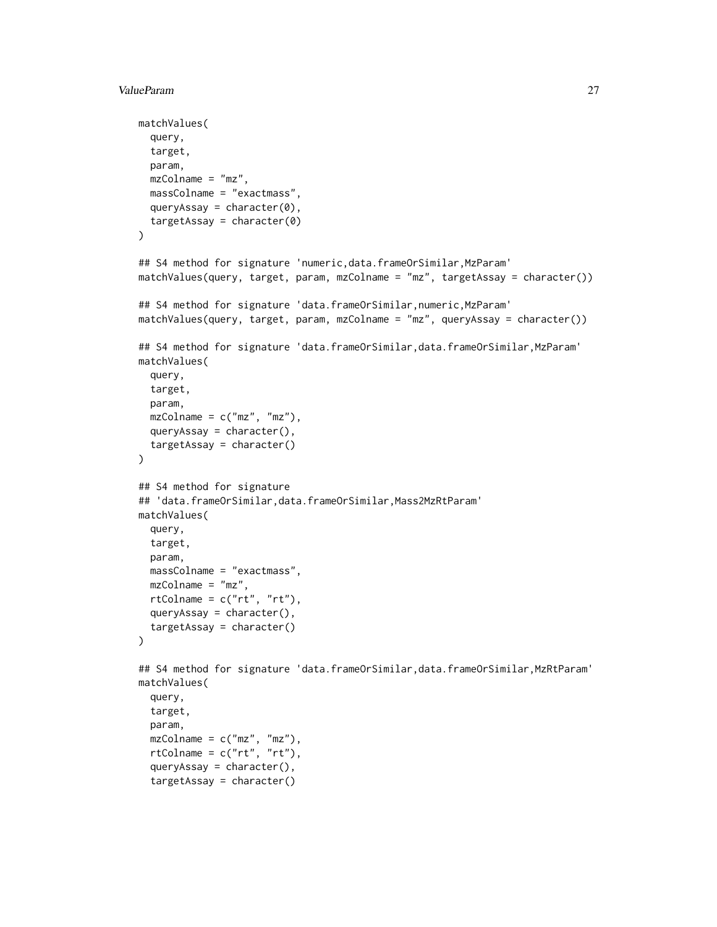# ValueParam 27

```
matchValues(
  query,
  target,
  param,
  mzColname = "mz",massColname = "exactmass",
  queryAssay = character(0),
  targetAssay = character(0)
\lambda## S4 method for signature 'numeric,data.frameOrSimilar,MzParam'
matchValues(query, target, param, mzColname = "mz", targetAssay = character())
## S4 method for signature 'data.frameOrSimilar,numeric,MzParam'
matchValues(query, target, param, mzColname = "mz", queryAssay = character())
## S4 method for signature 'data.frameOrSimilar,data.frameOrSimilar,MzParam'
matchValues(
  query,
  target,
 param,
  mzColname = c("mz", "mz"),queryAssay = character(),
  targetAssay = character()
)
## S4 method for signature
## 'data.frameOrSimilar,data.frameOrSimilar,Mass2MzRtParam'
matchValues(
  query,
  target,
  param,
  massColname = "exactmass",
  mzColname = "mz",rtColname = c("rt", "rt"),queryAssay = character(),
  targetAssay = character()
\mathcal{L}## S4 method for signature 'data.frameOrSimilar,data.frameOrSimilar,MzRtParam'
matchValues(
  query,
  target,
  param,
  mzColname = c("mz", "mz"),rtColname = c("rt", "rt"),
  queryAssay = character(),
  targetAssay = character()
```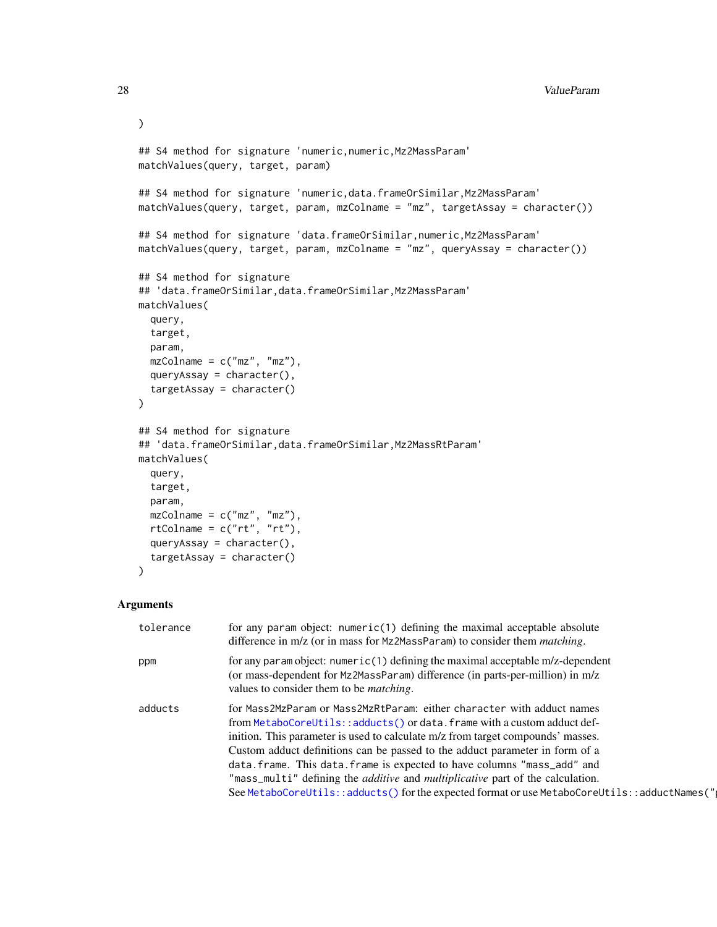```
\mathcal{L}## S4 method for signature 'numeric,numeric,Mz2MassParam'
matchValues(query, target, param)
## S4 method for signature 'numeric,data.frameOrSimilar,Mz2MassParam'
matchValues(query, target, param, mzColname = "mz", targetAssay = character())
## S4 method for signature 'data.frameOrSimilar,numeric, Mz2MassParam'
matchValues(query, target, param, mzColname = "mz", queryAssay = character())
## S4 method for signature
## 'data.frameOrSimilar,data.frameOrSimilar,Mz2MassParam'
matchValues(
  query,
  target,
 param,
  mzColname = c("mz", "mz"),queryAssay = character(),
  targetAssay = character()
)
## S4 method for signature
## 'data.frameOrSimilar,data.frameOrSimilar,Mz2MassRtParam'
matchValues(
 query,
  target,
 param,
 mzColname = c("mz", "mz"),rtColname = c("rt", "rt"),queryAssay = character(),
  targetAssay = character()
\mathcal{L}
```
# Arguments

| tolerance | for any param object: $numeric(1)$ defining the maximal acceptable absolute<br>difference in m/z (or in mass for Mz2MassParam) to consider them <i>matching</i> .                                                                                                                                                                                                                                                                                                                                                                                                                                |
|-----------|--------------------------------------------------------------------------------------------------------------------------------------------------------------------------------------------------------------------------------------------------------------------------------------------------------------------------------------------------------------------------------------------------------------------------------------------------------------------------------------------------------------------------------------------------------------------------------------------------|
| ppm       | for any param object: numeric(1) defining the maximal acceptable $m/z$ -dependent<br>(or mass-dependent for Mz2MassParam) difference (in parts-per-million) in m/z<br>values to consider them to be <i>matching</i> .                                                                                                                                                                                                                                                                                                                                                                            |
| adducts   | for Mass2MzParam or Mass2MzRtParam: either character with adduct names<br>from MetaboCoreUtils::adducts() or data.frame with a custom adduct def-<br>inition. This parameter is used to calculate m/z from target compounds' masses.<br>Custom adduct definitions can be passed to the adduct parameter in form of a<br>data. frame. This data. frame is expected to have columns "mass_add" and<br>"mass_multi" defining the <i>additive</i> and <i>multiplicative</i> part of the calculation.<br>See MetaboCoreUtils::adducts() for the expected format or use MetaboCoreUtils::adductNames(" |

<span id="page-27-0"></span>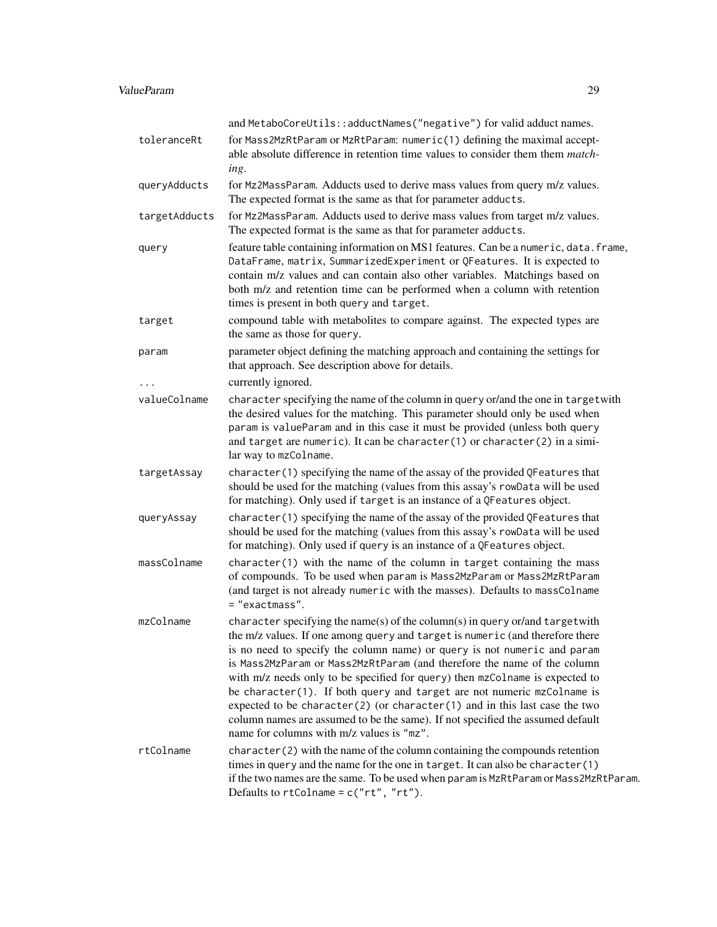# ValueParam 29

|               | and MetaboCoreUtils::adductNames("negative") for valid adduct names.                                                                                                                                                                                                                                                                                                                                                                                                                                                                                                                                                                                                                        |
|---------------|---------------------------------------------------------------------------------------------------------------------------------------------------------------------------------------------------------------------------------------------------------------------------------------------------------------------------------------------------------------------------------------------------------------------------------------------------------------------------------------------------------------------------------------------------------------------------------------------------------------------------------------------------------------------------------------------|
| toleranceRt   | for Mass2MzRtParam or MzRtParam: numeric(1) defining the maximal accept-<br>able absolute difference in retention time values to consider them them <i>match</i> -<br>ing.                                                                                                                                                                                                                                                                                                                                                                                                                                                                                                                  |
| queryAdducts  | for Mz2MassParam. Adducts used to derive mass values from query m/z values.<br>The expected format is the same as that for parameter adducts.                                                                                                                                                                                                                                                                                                                                                                                                                                                                                                                                               |
| targetAdducts | for Mz2MassParam. Adducts used to derive mass values from target m/z values.<br>The expected format is the same as that for parameter adducts.                                                                                                                                                                                                                                                                                                                                                                                                                                                                                                                                              |
| query         | feature table containing information on MS1 features. Can be a numeric, data. frame,<br>DataFrame, matrix, SummarizedExperiment or QFeatures. It is expected to<br>contain m/z values and can contain also other variables. Matchings based on<br>both m/z and retention time can be performed when a column with retention<br>times is present in both query and target.                                                                                                                                                                                                                                                                                                                   |
| target        | compound table with metabolites to compare against. The expected types are<br>the same as those for query.                                                                                                                                                                                                                                                                                                                                                                                                                                                                                                                                                                                  |
| param         | parameter object defining the matching approach and containing the settings for<br>that approach. See description above for details.                                                                                                                                                                                                                                                                                                                                                                                                                                                                                                                                                        |
|               | currently ignored.                                                                                                                                                                                                                                                                                                                                                                                                                                                                                                                                                                                                                                                                          |
| valueColname  | character specifying the name of the column in query or/and the one in targetwith<br>the desired values for the matching. This parameter should only be used when<br>param is valueParam and in this case it must be provided (unless both query<br>and target are numeric). It can be character(1) or character(2) in a simi-<br>lar way to mzColname.                                                                                                                                                                                                                                                                                                                                     |
| targetAssay   | character(1) specifying the name of the assay of the provided QFeatures that<br>should be used for the matching (values from this assay's rowData will be used<br>for matching). Only used if target is an instance of a QFeatures object.                                                                                                                                                                                                                                                                                                                                                                                                                                                  |
| queryAssay    | character(1) specifying the name of the assay of the provided QFeatures that<br>should be used for the matching (values from this assay's rowData will be used<br>for matching). Only used if query is an instance of a QFeatures object.                                                                                                                                                                                                                                                                                                                                                                                                                                                   |
| massColname   | $character(1)$ with the name of the column in target containing the mass<br>of compounds. To be used when param is Mass2MzParam or Mass2MzRtParam<br>(and target is not already numeric with the masses). Defaults to massColname<br>= "exactmass".                                                                                                                                                                                                                                                                                                                                                                                                                                         |
| mzColname     | character specifying the name(s) of the column(s) in query or/and targetwith<br>the m/z values. If one among query and target is numeric (and therefore there<br>is no need to specify the column name) or query is not numeric and param<br>is Mass2MzParam or Mass2MzRtParam (and therefore the name of the column<br>with m/z needs only to be specified for query) then mzColname is expected to<br>be character(1). If both query and target are not numeric mzColname is<br>expected to be character(2) (or character(1) and in this last case the two<br>column names are assumed to be the same). If not specified the assumed default<br>name for columns with m/z values is "mz". |
| rtColname     | $character(2)$ with the name of the column containing the compounds retention<br>times in query and the name for the one in target. It can also be character(1)<br>if the two names are the same. To be used when param is MzRtParam or Mass2MzRtParam.<br>Defaults to $rtColname = c("rt", "rt").$                                                                                                                                                                                                                                                                                                                                                                                         |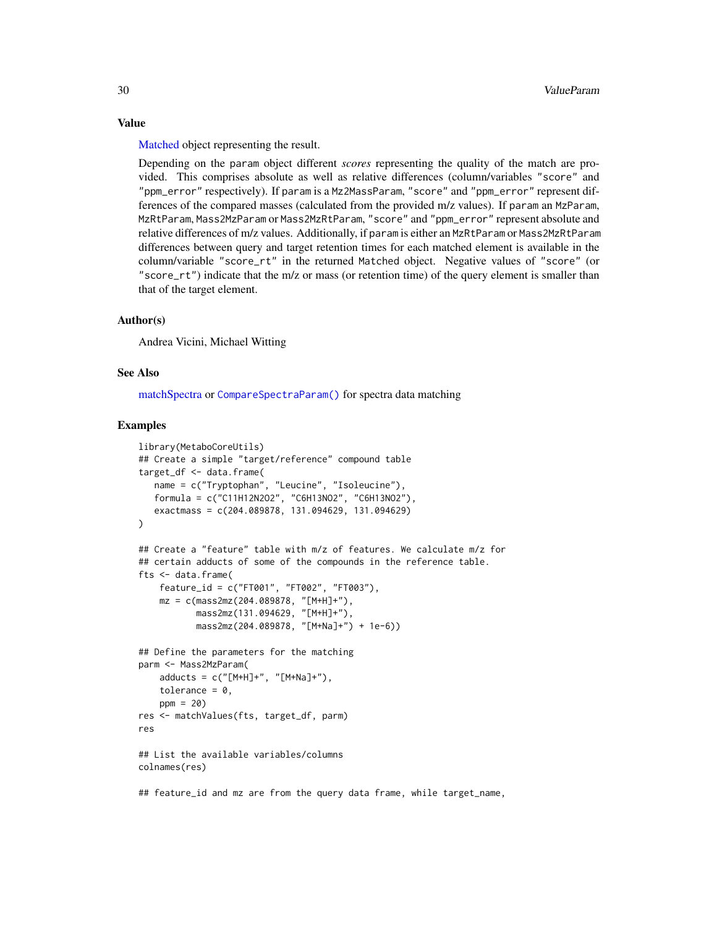[Matched](#page-1-1) object representing the result.

Depending on the param object different *scores* representing the quality of the match are provided. This comprises absolute as well as relative differences (column/variables "score" and "ppm\_error" respectively). If param is a Mz2MassParam, "score" and "ppm\_error" represent differences of the compared masses (calculated from the provided m/z values). If param an MzParam, MzRtParam, Mass2MzParam or Mass2MzRtParam, "score" and "ppm\_error" represent absolute and relative differences of m/z values. Additionally, if param is either an MzRtParam or Mass2MzRtParam differences between query and target retention times for each matched element is available in the column/variable "score\_rt" in the returned Matched object. Negative values of "score" (or "score\_rt") indicate that the m/z or mass (or retention time) of the query element is smaller than that of the target element.

#### Author(s)

Andrea Vicini, Michael Witting

# See Also

[matchSpectra](#page-21-1) or [CompareSpectraParam\(\)](#page-10-1) for spectra data matching

#### Examples

```
library(MetaboCoreUtils)
## Create a simple "target/reference" compound table
target_df <- data.frame(
  name = c("Tryptophan", "Leucine", "Isoleucine"),
  formula = c("C11H12N2O2", "C6H13NO2", "C6H13NO2"),
  exactmass = c(204.089878, 131.094629, 131.094629)
\mathcal{L}## Create a "feature" table with m/z of features. We calculate m/z for
## certain adducts of some of the compounds in the reference table.
fts <- data.frame(
    feature_id = c("FT001", "FT002", "FT003"),
   mz = c(mass2mz(204.089878, "[M+H]+"),
           mass2mz(131.094629, "[M+H]+"),
           mass2mz(204.089878, "[M+Na]+") + 1e-6))
## Define the parameters for the matching
parm <- Mass2MzParam(
   adducts = c("[M+H]+", "[M+Na]+"),
   tolerance = 0,
    ppm = 20res <- matchValues(fts, target_df, parm)
res
## List the available variables/columns
colnames(res)
```
## feature\_id and mz are from the query data frame, while target\_name,

<span id="page-29-0"></span>

# Value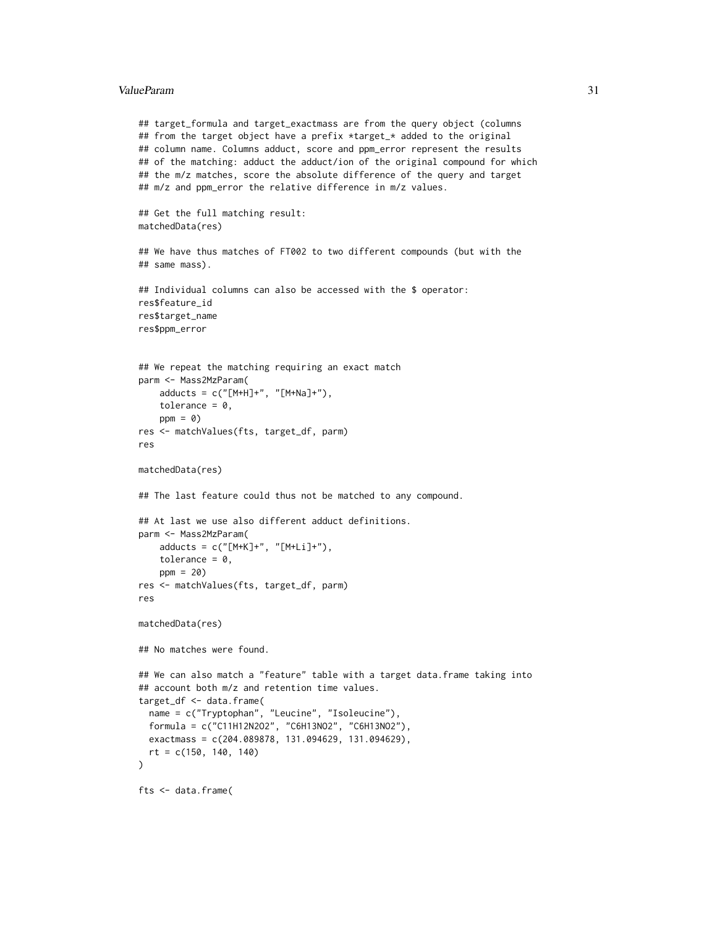#### ValueParam 31

```
## target_formula and target_exactmass are from the query object (columns
## from the target object have a prefix *target_* added to the original
## column name. Columns adduct, score and ppm_error represent the results
## of the matching: adduct the adduct/ion of the original compound for which
## the m/z matches, score the absolute difference of the query and target
## m/z and ppm_error the relative difference in m/z values.
## Get the full matching result:
matchedData(res)
## We have thus matches of FT002 to two different compounds (but with the
## same mass).
## Individual columns can also be accessed with the $ operator:
res$feature_id
res$target_name
res$ppm_error
## We repeat the matching requiring an exact match
parm <- Mass2MzParam(
    adducts = c("[M+H]+", "[M+Na]+"),
    tolerance = 0,
    ppm = 0)
res <- matchValues(fts, target_df, parm)
res
matchedData(res)
## The last feature could thus not be matched to any compound.
## At last we use also different adduct definitions.
parm <- Mass2MzParam(
    adducts = c("[M+K]+", "[M+Li]+"),tolerance = 0,
    ppm = 20res <- matchValues(fts, target_df, parm)
res
matchedData(res)
## No matches were found.
## We can also match a "feature" table with a target data.frame taking into
## account both m/z and retention time values.
target_df <- data.frame(
  name = c("Tryptophan", "Leucine", "Isoleucine"),
  formula = c("C11H12N2O2", "C6H13NO2", "C6H13NO2"),
  exactmass = c(204.089878, 131.094629, 131.094629),
  rt = c(150, 140, 140)
\mathcal{L}fts <- data.frame(
```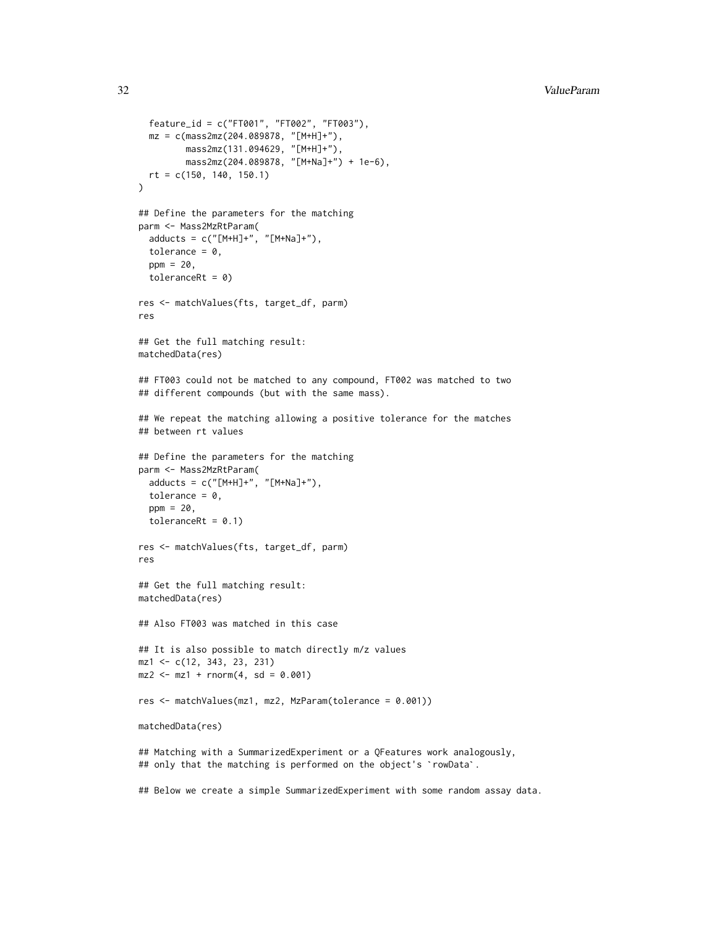```
feature_id = c("FT001", "FT002", "FT003"),
  mz = c(mass2mz(204.089878, "[M+H]+"),
         mass2mz(131.094629, "[M+H]+"),
         mass2mz(204.089878, "[M+Na]+") + 1e-6),
  rt = c(150, 140, 150.1)
)
## Define the parameters for the matching
parm <- Mass2MzRtParam(
  adducts = c("[M+H]+", "[M+Na]+"),
  tolerance = 0,
  ppm = 20,
  toleranceRt = 0res <- matchValues(fts, target_df, parm)
res
## Get the full matching result:
matchedData(res)
## FT003 could not be matched to any compound, FT002 was matched to two
## different compounds (but with the same mass).
## We repeat the matching allowing a positive tolerance for the matches
## between rt values
## Define the parameters for the matching
parm <- Mass2MzRtParam(
  adducts = c("[M+H]+", "[M+Na]+"),
  tolerance = 0,
  ppm = 20,
  toleranceRt = 0.1)
res <- matchValues(fts, target_df, parm)
res
## Get the full matching result:
matchedData(res)
## Also FT003 was matched in this case
## It is also possible to match directly m/z values
mz1 <- c(12, 343, 23, 231)
mz2 \le -mz1 + rnorm(4, sd = 0.001)res <- matchValues(mz1, mz2, MzParam(tolerance = 0.001))
matchedData(res)
## Matching with a SummarizedExperiment or a QFeatures work analogously,
matchedData(res)<br>## Matching with a SummarizedExperiment or a QFeatures work analo<br>## only that the matching is performed on the object's `rowData`.
## Below we create a simple SummarizedExperiment with some random assay data.
```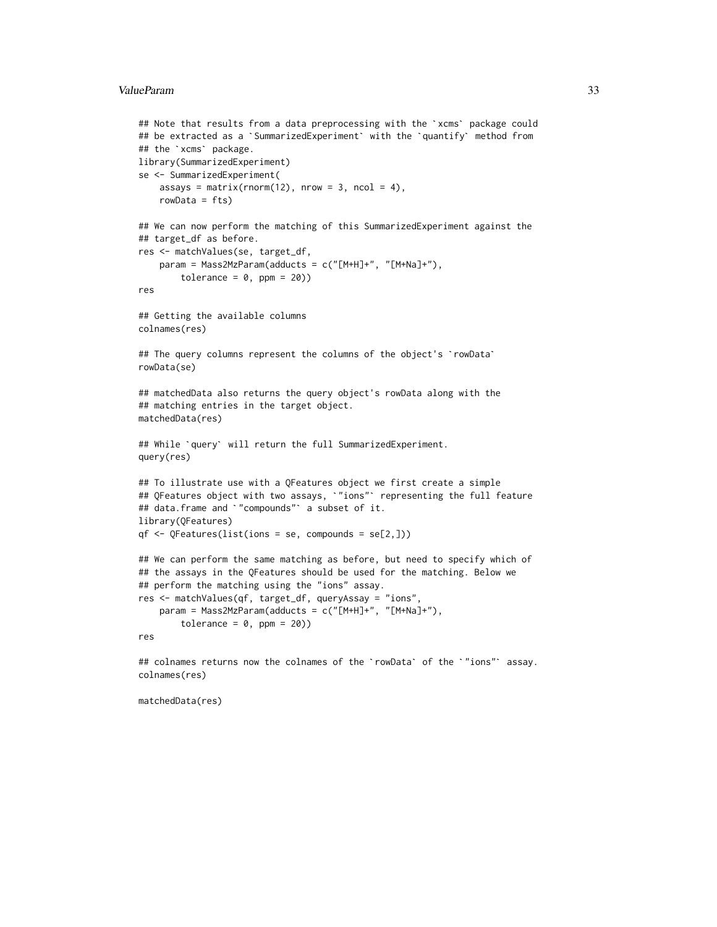#### ValueParam 33

```
ValueParam<br>## Note that results from a data preprocessing with the `xcms` package could
     tranan<br>## Note that results from a data preprocessing with the `xcms` package coul<br>## be extracted as a `SummarizedExperiment` with the `quantify` method from
     ## Note that results f<br>## be extracted as a<br>## the `xcms` package.
    library(SummarizedExperiment)
    se <- SummarizedExperiment(
         assays = matrix(rnorm(12), nrow = 3, ncol = 4),
         rowData = fts)
    ## We can now perform the matching of this SummarizedExperiment against the
    ## target_df as before.
    res <- matchValues(se, target_df,
         param = Mass2MzParam(adducts = c("[M+H]+", "[M+Na]+"),tolerance = 0, ppm = 20))
    res
    ## Getting the available columns
    colnames(res)
    ## The query columns represent the columns of the object's `rowData`
    rowData(se)
    ## matchedData also returns the query object's rowData along with the
    ## matching entries in the target object.
    matchedData(res)
    ## While `query` will return the full SummarizedExperiment.
    query(res)
    ## To illustrate use with a QFeatures object we first create a simple
     query(res)<br>## To illustrate use with a QFeatures object we first create a simple<br>## QFeatures object with two assays, `"ions"` representing the full feature
     ## To illustrate use with a QFeatures object we<br>## QFeatures object with two assays, `"ions"` r<br>## data.frame and `"compounds"` a subset of it.
    library(QFeatures)
    qf \leftarrow QFeatures(list(ions = se, compounds = se[2,]))## We can perform the same matching as before, but need to specify which of
    ## the assays in the QFeatures should be used for the matching. Below we
    ## perform the matching using the "ions" assay.
    res <- matchValues(qf, target_df, queryAssay = "ions",
         param = Mass2MzParam(adducts = c("[M+H]+", "[M+Na]+"),
              tolerance = 0, ppm = 20))
    res
```
## colnames returns now the colnames of the `rowData` of the `"ions"` assay. colnames(res)

matchedData(res)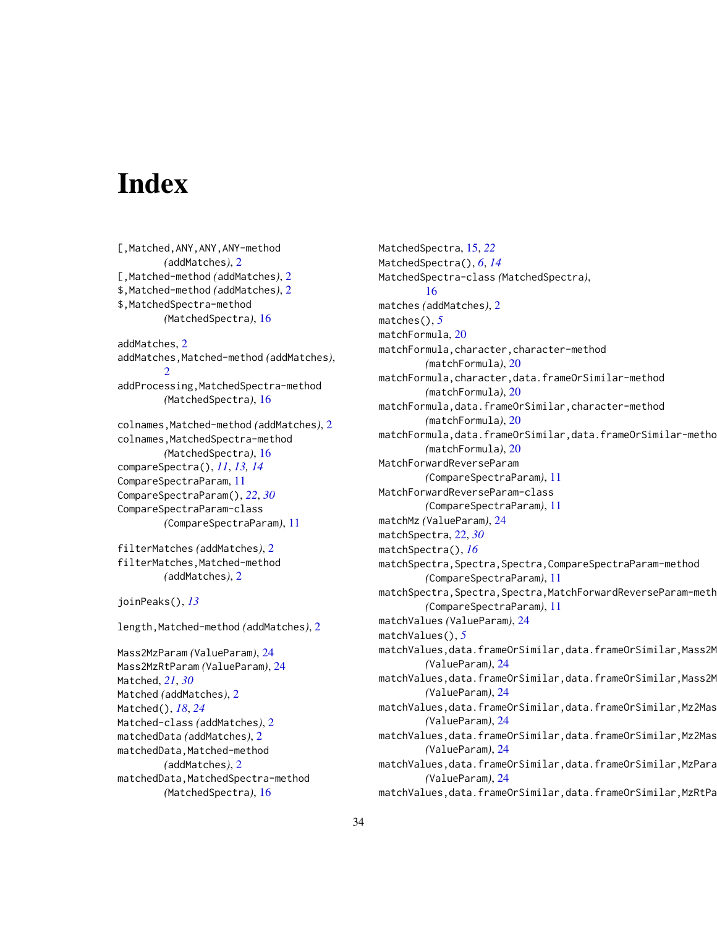# <span id="page-33-0"></span>Index

[,Matched,ANY,ANY,ANY-method *(*addMatches*)*, [2](#page-1-0) [,Matched-method *(*addMatches*)*, [2](#page-1-0) \$,Matched-method *(*addMatches*)*, [2](#page-1-0) \$,MatchedSpectra-method *(*MatchedSpectra*)*, [16](#page-15-0) addMatches, [2](#page-1-0) addMatches,Matched-method *(*addMatches*)*, [2](#page-1-0) addProcessing,MatchedSpectra-method *(*MatchedSpectra*)*, [16](#page-15-0) colnames,Matched-method *(*addMatches*)*, [2](#page-1-0) colnames, MatchedSpectra-method *(*MatchedSpectra*)*, [16](#page-15-0) compareSpectra(), *[11](#page-10-0)*, *[13,](#page-12-0) [14](#page-13-0)* CompareSpectraParam, [11](#page-10-0) CompareSpectraParam(), *[22](#page-21-0)*, *[30](#page-29-0)* CompareSpectraParam-class *(*CompareSpectraParam*)*, [11](#page-10-0)

filterMatches *(*addMatches*)*, [2](#page-1-0) filterMatches,Matched-method *(*addMatches*)*, [2](#page-1-0)

joinPeaks(), *[13](#page-12-0)*

length,Matched-method *(*addMatches*)*, [2](#page-1-0)

Mass2MzParam *(*ValueParam*)*, [24](#page-23-0) Mass2MzRtParam *(*ValueParam*)*, [24](#page-23-0) Matched, *[21](#page-20-0)*, *[30](#page-29-0)* Matched *(*addMatches*)*, [2](#page-1-0) Matched(), *[18](#page-17-0)*, *[24](#page-23-0)* Matched-class *(*addMatches*)*, [2](#page-1-0) matchedData *(*addMatches*)*, [2](#page-1-0) matchedData,Matched-method *(*addMatches*)*, [2](#page-1-0) matchedData,MatchedSpectra-method *(*MatchedSpectra*)*, [16](#page-15-0)

MatchedSpectra, [15,](#page-14-0) *[22](#page-21-0)* MatchedSpectra(), *[6](#page-5-0)*, *[14](#page-13-0)* MatchedSpectra-class *(*MatchedSpectra*)*, [16](#page-15-0) matches *(*addMatches*)*, [2](#page-1-0) matches(), *[5](#page-4-0)* matchFormula, [20](#page-19-0) matchFormula,character,character-method *(*matchFormula*)*, [20](#page-19-0) matchFormula,character,data.frameOrSimilar-method *(*matchFormula*)*, [20](#page-19-0) matchFormula,data.frameOrSimilar,character-method *(*matchFormula*)*, [20](#page-19-0) matchFormula,data.frameOrSimilar,data.frameOrSimilar-metho *(*matchFormula*)*, [20](#page-19-0) MatchForwardReverseParam *(*CompareSpectraParam*)*, [11](#page-10-0) MatchForwardReverseParam-class *(*CompareSpectraParam*)*, [11](#page-10-0) matchMz *(*ValueParam*)*, [24](#page-23-0) matchSpectra, [22,](#page-21-0) *[30](#page-29-0)* matchSpectra(), *[16](#page-15-0)* matchSpectra,Spectra,Spectra,CompareSpectraParam-method *(*CompareSpectraParam*)*, [11](#page-10-0) matchSpectra, Spectra, Spectra, MatchForwardReverseParam-meth *(*CompareSpectraParam*)*, [11](#page-10-0) matchValues *(*ValueParam*)*, [24](#page-23-0) matchValues(), *[5](#page-4-0)* matchValues,data.frameOrSimilar,data.frameOrSimilar,Mass2M *(*ValueParam*)*, [24](#page-23-0) matchValues,data.frameOrSimilar,data.frameOrSimilar,Mass2M *(*ValueParam*)*, [24](#page-23-0) matchValues,data.frameOrSimilar,data.frameOrSimilar,Mz2Mas *(*ValueParam*)*, [24](#page-23-0) matchValues,data.frameOrSimilar,data.frameOrSimilar,Mz2Mas *(*ValueParam*)*, [24](#page-23-0) matchValues,data.frameOrSimilar,data.frameOrSimilar,MzPara *(*ValueParam*)*, [24](#page-23-0) matchValues,data.frameOrSimilar,data.frameOrSimilar,MzRtPa